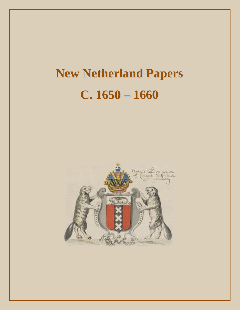# **New Netherland Papers C. 1650 – 1660**

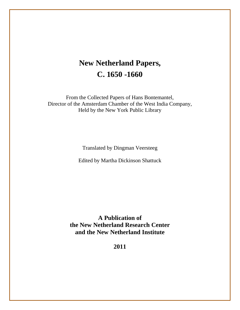# **New Netherland Papers, C. 1650 -1660**

From the Collected Papers of Hans Bontemantel, Director of the Amsterdam Chamber of the West India Company, Held by the New York Public Library

Translated by Dingman Veersteeg

Edited by Martha Dickinson Shattuck

**A Publication of the New Netherland Research Center and the New Netherland Institute**

**2011**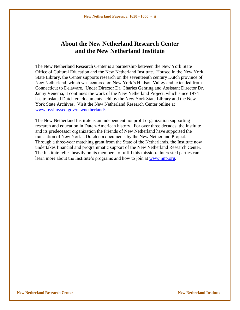### **About the New Netherland Research Center and the New Netherland Institute**

The New Netherland Research Center is a partnership between the New York State Office of Cultural Education and the New Netherland Institute. Housed in the New York State Library, the Center supports research on the seventeenth century Dutch province of New Netherland, which was centered on New York"s Hudson Valley and extended from Connecticut to Delaware. Under Director Dr. Charles Gehring and Assistant Director Dr. Janny Venema, it continues the work of the New Netherland Project, which since 1974 has translated Dutch era documents held by the New York State Library and the New York State Archives. Visit the New Netherland Research Center online at [www.nysl.nysed.gov/newnetherland/.](http://www.nysl.nysed.gov/newnetherland/)

The New Netherland Institute is an independent nonprofit organization supporting research and education in Dutch-American history. For over three decades, the Institute and its predecessor organization the Friends of New Netherland have supported the translation of New York"s Dutch era documents by the New Netherland Project. Through a three-year matching grant from the State of the Netherlands, the Institute now undertakes financial and programmatic support of the New Netherland Research Center. The Institute relies heavily on its members to fulfill this mission. Interested parties can learn more about the Institute's programs and how to join at [www.nnp.org.](http://www.nnp.org/)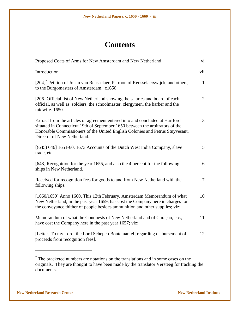## **Contents**

| Proposed Coats of Arms for New Amsterdam and New Netherland                                                                                                                                                                                                                    | vi             |
|--------------------------------------------------------------------------------------------------------------------------------------------------------------------------------------------------------------------------------------------------------------------------------|----------------|
| Introduction                                                                                                                                                                                                                                                                   | vii            |
| [204] <sup>*</sup> Petition of Johan van Rensselaer, Patroon of Rensselaerswijck, and others,<br>to the Burgomasters of Amsterdam. c1650                                                                                                                                       | $\mathbf{1}$   |
| [206] Official list of New Netherland showing the salaries and board of each<br>official, as well as soldiers, the schoolmaster, clergymen, the barber and the<br>midwife. 1650.                                                                                               | $\overline{2}$ |
| Extract from the articles of agreement entered into and concluded at Hartford<br>situated in Connecticut 19th of September 1650 between the arbitrators of the<br>Honorable Commissioners of the United English Colonies and Petrus Stuyvesant,<br>Director of New Netherland. | 3              |
| $[(645) 646] 1651-60, 1673$ Accounts of the Dutch West India Company, slave<br>trade, etc.                                                                                                                                                                                     | 5              |
| [648] Recognition for the year 1655, and also the 4 percent for the following<br>ships in New Netherland.                                                                                                                                                                      | 6              |
| Received for recognition fees for goods to and from New Netherland with the<br>following ships.                                                                                                                                                                                | $\tau$         |
| [1660/1659] Anno 1660, This 12th February, Amsterdam Memorandum of what<br>New Netherland, in the past year 1659, has cost the Company here in charges for<br>the conveyance thither of people besides ammunition and other supplies; viz:                                     | 10             |
| Memorandum of what the Conquests of New Netherland and of Curaçao, etc.,<br>have cost the Company here in the past year 1657; viz:                                                                                                                                             | 11             |
| [Letter] To my Lord, the Lord Schepen Bontemantel [regarding disbursement of<br>proceeds from recognition fees].                                                                                                                                                               | 12             |
|                                                                                                                                                                                                                                                                                |                |

<sup>\*</sup> The bracketed numbers are notations on the translations and in some cases on the originals. They are thought to have been made by the translator Versteeg for tracking the documents.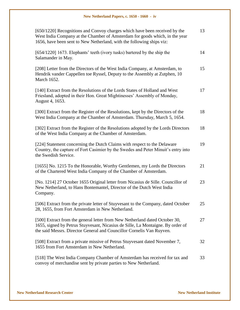| [650/1220] Recognitions and Convoy charges which have been received by the<br>West India Company at the Chamber of Amsterdam for goods which, in the year<br>1656, have been sent to New Netherland, with the following ships viz:      | 13 |
|-----------------------------------------------------------------------------------------------------------------------------------------------------------------------------------------------------------------------------------------|----|
| [654/1220] 1673. Elephants' teeth (ivory tusks) bartered by the ship the<br>Salamander in May.                                                                                                                                          | 14 |
| [208] Letter from the Directors of the West India Company, at Amsterdam, to<br>Hendrik vander Cappellen toe Ryssel, Deputy to the Assembly at Zutphen, 10<br>March 1652.                                                                | 15 |
| [140] Extract from the Resolutions of the Lords States of Holland and West<br>Friesland, adopted in their Hon. Great Mightinesses' Assembly of Monday,<br>August 4, 1653.                                                               | 17 |
| [300] Extract from the Register of the Resolutions, kept by the Directors of the<br>West India Company at the Chamber of Amsterdam. Thursday, March 5, 1654.                                                                            | 18 |
| [302] Extract from the Register of the Resolutions adopted by the Lords Directors<br>of the West India Company at the Chamber of Amsterdam.                                                                                             | 18 |
| [224] Statement concerning the Dutch Claims with respect to the Delaware<br>Country, the capture of Fort Casimier by the Swedes and Peter Minuit's entry into<br>the Swedish Service.                                                   | 19 |
| [1655] No. 1215 To the Honorable, Worthy Gentlemen, my Lords the Directors<br>of the Chartered West India Company of the Chamber of Amsterdam.                                                                                          | 21 |
| [No. 1214] 27 October 1655 Original letter from Nicasius de Sille. Councillor of<br>New Netherland, to Hans Bontemantel, Director of the Dutch West India<br>Company.                                                                   | 23 |
| [506] Extract from the private letter of Stuyvesant to the Company, dated October<br>28, 1655, from Fort Amsterdam in New Netherland.                                                                                                   | 25 |
| [500] Extract from the general letter from New Netherland dated October 30,<br>1655, signed by Petrus Stuyvesant, Nicasius de Sille, La Montaigne. By order of<br>the said Messrs. Director General and Councillor Cornelis Van Ruyven. | 27 |
| [508] Extract from a private missive of Petrus Stuyvesant dated November 7,<br>1655 from Fort Amsterdam in New Netherland.                                                                                                              | 32 |
| [518] The West India Company Chamber of Amsterdam has received for tax and<br>convoy of merchandise sent by private parties to New Netherland.                                                                                          | 33 |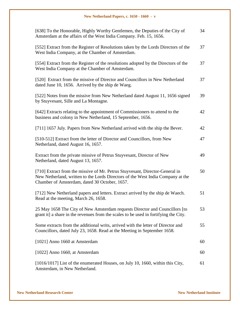| [638] To the Honorable, Highly Worthy Gentlemen, the Deputies of the City of<br>Amsterdam at the affairs of the West India Company. Feb. 15, 1656.                                                               | 34 |
|------------------------------------------------------------------------------------------------------------------------------------------------------------------------------------------------------------------|----|
| [552] Extract from the Register of Resolutions taken by the Lords Directors of the<br>West India Company, at the Chamber of Amsterdam.                                                                           | 37 |
| [554] Extract from the Register of the resolutions adopted by the Directors of the<br>West India Company at the Chamber of Amsterdam.                                                                            | 37 |
| [520] Extract from the missive of Director and Councillors in New Netherland<br>dated June 10, 1656. Arrived by the ship de Waeg.                                                                                | 37 |
| [522] Notes from the missive from New Netherland dated August 11, 1656 signed<br>by Stuyvesant, Sille and La Montagne.                                                                                           | 39 |
| [642] Extracts relating to the appointment of Commissioners to attend to the<br>business and colony in New Netherland, 15 September, 1656.                                                                       | 42 |
| [711] 1657 July. Papers from New Netherland arrived with the ship the Bever.                                                                                                                                     | 42 |
| [510-512] Extract from the letter of Director and Councillors, from New<br>Netherland, dated August 16, 1657.                                                                                                    | 47 |
| Extract from the private missive of Petrus Stuyvesant, Director of New<br>Netherland, dated August 13, 1657.                                                                                                     | 49 |
| [710] Extract from the missive of Mr. Petrus Stuyvesant, Director-General in<br>New Netherland, written to the Lords Directors of the West India Company at the<br>Chamber of Amsterdam, dated 30 October, 1657. | 50 |
| [712] New Netherland papers and letters. Extract arrived by the ship de Waech.<br>Read at the meeting, March 26, 1658.                                                                                           | 51 |
| 25 May 1658 The City of New Amsterdam requests Director and Councillors [to<br>grant it] a share in the revenues from the scales to be used in fortifying the City.                                              | 53 |
| Some extracts from the additional writs, arrived with the letter of Director and<br>Councillors, dated July 23, 1658. Read at the Meeting in September 1658.                                                     | 55 |
| [1021] Anno 1660 at Amsterdam                                                                                                                                                                                    | 60 |
| [1022] Anno 1660, at Amsterdam                                                                                                                                                                                   | 60 |
| $[1016/1017]$ List of the enumerated Houses, on July 10, 1660, within this City,<br>Amsterdam, in New Netherland.                                                                                                | 61 |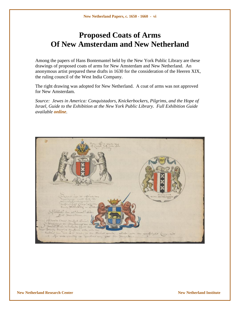## **Proposed Coats of Arms Of New Amsterdam and New Netherland**

Among the papers of Hans Bontemantel held by the New York Public Library are these drawings of proposed coats of arms for New Amsterdam and New Netherland. An anonymous artist prepared these drafts in 1630 for the consideration of the Heeren XIX, the ruling council of the West India Company.

The right drawing was adopted for New Netherland. A coat of arms was not approved for New Amsterdam.

*Source: Jewes in America: Conquistadors, Knickerbockers, Pilgrims, and the Hope of Israel, Guide to the Exhibition at the New York Public Library. Full Exhibition Guide available [online](http://legacy.www.nypl.org/research/chss/jws/jewes/index.html).*

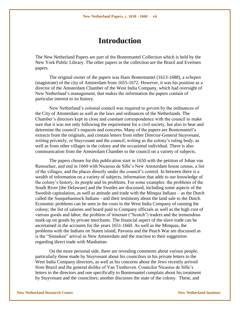### **Introduction**

The New Netherland Papers are part of the Bontemantel Collection which is held by the New York Public Library. The other papers in the collection are the Brazil and Evertsen papers.

The original owner of the papers was Hans Bontemantel (1613-1688), a *schepen* (magistrate) of the city of Amsterdam from 1655-1672. However, it was his position as a director of the Amsterdam Chamber of the West India Company, which had oversight of New Netherland"s management, that makes the information the papers contain of particular interest to its history.

New Netherland"s colonial council was required to govern by the ordinances of the City of Amsterdam as well as the laws and ordinances of the Netherlands. The Chamber"s directors kept in close and constant correspondence with the council to make sure that it was not only following the requirement for a civil society, but also to hear and determine the council's requests and concerns. Many of the papers are Bontemantel's extracts from the originals, and contain letters from either Director-General Stuyvesant, writing privately, or Stuyvesant and the council, writing as the colony"s ruling body, as well as from other villages in the colony and the occasional individual. There is also communication from the Amsterdam Chamber to the council on a variety of subjects.

The papers chosen for this publication start in 1650 with the petition of Johan van Rensselaer, and end in 1660 with Nicasius de Sille"s New Amsterdam house census, a list of the villages, and the places directly under the council"s control. In between there is a wealth of information on a variety of subjects, information that adds to our knowledge of the colony"s history, its people and its problems. For some examples: the problems of the South River [the Delaware] and the Swedes are discussed, including some aspects of the Swedish capitulation, as well as attitude and trade with the Minqua Indians – as the Dutch called the Susquehannock Indians - and their testimony about the land sale to the Dutch. Economic problems can be seen in the costs to the West India Company of running the colony; the list of salaries and board paid to Company officials as well as the high cost of various goods and labor; the problem of itinerant ("Scotch") traders and the tremendous mark-up on goods by private merchants. The financial aspect of the slave trade can be ascertained in the accounts for the years 1651-1660. As well as the Minquas, the problems with the Indians on Staten island, Pavonia and the Peach War are discussed as is the "Sinneken" arrival in New Amsterdam and the reaction to their suggestion regarding direct trade with Manhattan.

On the more personal side, there are revealing comments about various people, particularly those made by Stuyvesant about his councilors in his private letters to the West India Company directors, as well as his concerns about the Jews recently arrived from Brazil and the general dislike of Van Tienhoven. Councilor Nicasius de Sille"s letters to the directors and one specifically to Bontemantel complain about his treatment by Stuyvesant and the councilors; another discusses the state of the colony. These, and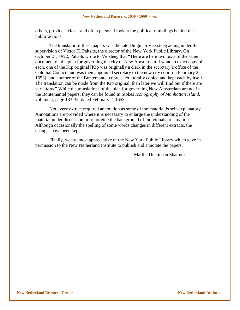others, provide a closer and often personal look at the political rumblings behind the public actions.

The translator of these papers was the late Dingman Veersteeg acting under the supervision of Victor H. Paltsits, the director of the New York Public Library. On October 21, 1922, Paltsits wrote to Versteeg that "There are here two texts of the same document on the plan for governing the city of New Amsterdam. I want an exact copy of each, one of the Kip original [Kip was originally a clerk in the secretary"s office of the Colonial Council and was then appointed secretary to the new city court on February 2, 1653], and another of the Bontemantel copy, each literally copied and kept each by itself. The translation can be made from the Kip original, then later we will find out if there are variations." While the translations of the plan for governing New Amsterdam are not in the Bontemantel papers, they can be found in Stokes *Iconography of Manhattan Island*, volume 4, page 133-35, dated February 2, 1653.

Not every extract required annotation as some of the material is self-explanatory. Annotations are provided where it is necessary to enlarge the understanding of the material under discussion or to provide the background of individuals or situations. Although occasionally the spelling of some words changes in different extracts, the changes have been kept.

Finally, we are most appreciative of the New York Public Library which gave its permission to the New Netherland Institute to publish and annotate the papers.

Martha Dickinson Shattuck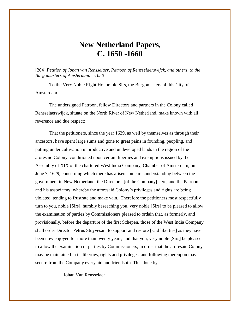### **New Netherland Papers, C. 1650 -1660**

[204] *Petition of Johan van Rensselaer, Patroon of Rensselaerswijck, and others, to the Burgomasters of Amsterdam. c1650*

To the Very Noble Right Honorable Sirs, the Burgomasters of this City of Amsterdam.

The undersigned Patroon, fellow Directors and partners in the Colony called Rensselaerswijck, situate on the North River of New Netherland, make known with all reverence and due respect:

That the petitioners, since the year 1629, as well by themselves as through their ancestors, have spent large sums and gone to great pains in founding, peopling, and putting under cultivation unproductive and undeveloped lands in the region of the aforesaid Colony, conditioned upon certain liberties and exemptions issued by the Assembly of XIX of the chartered West India Company, Chamber of Amsterdam, on June 7, 1629, concerning which there has arisen some misunderstanding between the government in New Netherland, the Directors [of the Company] here, and the Patroon and his associators, whereby the aforesaid Colony"s privileges and rights are being violated, tending to frustrate and make vain. Therefore the petitioners most respectfully turn to you, noble [Sirs], humbly beseeching you, very noble [Sirs] to be pleased to allow the examination of parties by Commissioners pleased to ordain that, as formerly, and provisionally, before the departure of the first Schepen, those of the West India Company shall order Director Petrus Stuyvesant to support and restore [said liberties] as they have been now enjoyed for more than twenty years, and that you, very noble [Sirs] be pleased to allow the examination of parties by Commissioners, in order that the aforesaid Colony may be maintained in its liberties, rights and privileges, and following thereupon may secure from the Company every aid and friendship. This done by

Johan Van Rensselaer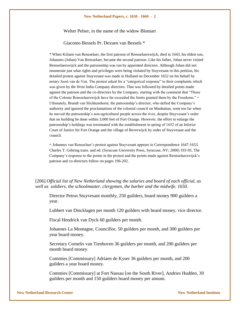#### Welter Pelser, in the name of the widow Blomart

Giacomo Bessels Pr. Dexuen van Bessels \*

\* When Kiliaen van Rensselaer, the first patroon of Rensselaerswijck, died in 1643, his eldest son, Johannes (Johan) Van Rensselaer, became the second patroon. Like his father, Johan never visited Rensselaerswijck and the patroonship was run by appointed directors. Although Johan did not enumerate just what rights and privileges were being violated by Stuyvesant in this petition, his detailed protest against Stuyvesant was made in Holland on December 1652 on his behalf by notary Joost van de Ven. The protest asked for a "categorical response" to their complaints which was given by the West India Company directors. That was followed by detailed points made against the patroon and the co-directors by the Company, starting with the comment that "Those of the Colonie Rensselaerswijck have far exceeded the limits granted them by the Freedoms." + Ultimately, Brandt van Slichtenshorst, the patroonship"s director, who defied the Company"s authority and ignored the proclamations of the colonial council on Manhattan, went too far when he moved the patroonship"s non-agricultural people across the river, despite Stuyvesant"s order that no building be done within 3,000 feet of Fort Orange. However, the effort to enlarge the patroonship"s holdings was terminated with the establishment in spring of 1652 of an Inferior Court of Justice for Fort Orange and the village of Beverwijck by order of Stuyvesant and the council.

+ Johannes van Rensselaer"s protest against Stuyvesant appears in Correspondence 1647-1653. Charles T. Gehring trans. and ed. (Syracuse University Press, Syracuse, NY; 2000) 193-95. The Company"s response to the points in the protest and the points made against Rennselaerswijck"s patroon and co-directors follow on pages 196-202.

[206] *Official list of New Netherland showing the salaries and board of each official, as well as soldiers, the schoolmaster, clergymen, the barber and the midwife. 1650.* 

Director Petrus Stuyvesant monthly, 250 guilders, board money 900 guilders a year.

Lubbert van Dincklagen per month 120 guilders with board money, vice director.

Fiscal Hendrick van Dyck 60 guilders per month.

Johannes La Montagne, Councillor, 50 guilders per month, and 300 guilders per year board money.

Secretary Cornelis van Tienhoven 36 guilders per month, and 200 guilders per month board money.

Commies [Commissary] Adriaen de Kyser 36 guilders per month, and 200 guilders a year board money.

Commies [Commissary] at Fort Nassau [on the South River], Andries Hudden, 30 guilders per month and 150 guilders board money per annum.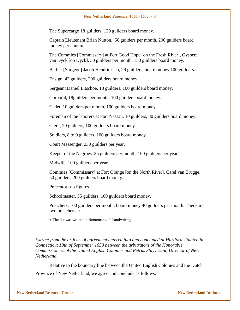The Supercargo 18 guilders. 120 guilders board money.

Captain Lieutenant Brian Nutton. 50 guilders per month, 200 guilders board money per annum.

The Commies [Commissary] at Fort Good Hope [on the Fresh River], Gysbert van Dyck [op Dyck], 30 guilders per month, 150 guilders board money.

Barber [Surgeon] Jacob Hendricksen, 26 guilders, board money 100 guilders.

Ensign, 42 guilders, 200 guilders board money.

Sergeant Daniel Litschoe, 18 guilders, 100 guilders board money.

Corporal, 18guilders per month, 100 guilders board money.

Cadet, 10 guilders per month, 100 guilders board money.

Foreman of the laborers at Fort Nassau, 10 guilders, 80 guilders board money.

Clerk, 20 guilders, 100 guilders board money.

Soldiers, 8 to 9 guilders, 100 guilders board money.

Court Messenger, 230 guilders per year.

Keeper of the Negroes, 25 guilders per month, 100 guilders per year.

Midwife, 100 guilders per year.

Commies [Commissary] at Fort Orange [on the North River], Carel van Brugge, 50 guilders, 200 guilders board money.

Precentor [no figures]

Schoolmaster, 35 guilders, 100 guilders board money.

Preachers, 100 guilders per month, board money 40 guilders per month. There are two preachers. +

+ The list was written in Bontemantel"s handwriting.

*Extract from the articles of agreement entered into and concluded at Hartford situated in Connecticut 19th of September 1650 between the arbitrators of the Honorable Commissioners of the United English Colonies and Petrus Stuyvesant, Director of New Netherland.*

Relative to the boundary line between the United English Colonies and the Dutch Province of New Netherland, we agree and conclude as follows: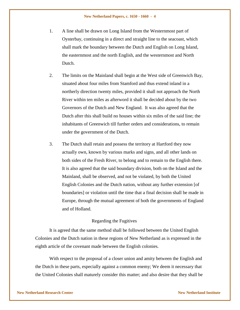- 1. A line shall be drawn on Long Island from the Westernmost part of Oysterbay, continuing in a direct and straight line to the seacoast, which shall mark the boundary between the Dutch and English on Long Island, the easternmost and the north English, and the westernmost and North Dutch.
- 2. The limits on the Mainland shall begin at the West side of Greenwich Bay, situated about four miles from Stamford and thus extend inland in a northerly direction twenty miles, provided it shall not approach the North River within ten miles as afterword it shall be decided about by the two Governors of the Dutch and New England. It was also agreed that the Dutch after this shall build no houses within six miles of the said line; the inhabitants of Greenwich till further orders and considerations, to remain under the government of the Dutch.
- 3. The Dutch shall retain and possess the territory at Hartford they now actually own, known by various marks and signs, and all other lands on both sides of the Fresh River, to belong and to remain to the English there. It is also agreed that the said boundary division, both on the Island and the Mainland, shall be observed, and not be violated, by both the United English Colonies and the Dutch nation, without any further extension [of boundaries] or violation until the time that a final decision shall be made in Europe, through the mutual agreement of both the governments of England and of Holland.

#### Regarding the Fugitives

It is agreed that the same method shall be followed between the United English Colonies and the Dutch nation in these regions of New Netherland as is expressed in the eighth article of the covenant made between the English colonies.

With respect to the proposal of a closer union and amity between the English and the Dutch in these parts, especially against a common enemy; We deem it necessary that the United Colonies shall maturely consider this matter; and also desire that they shall be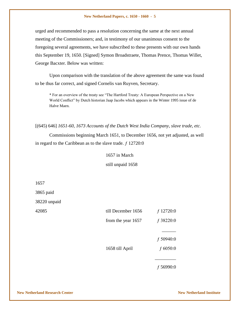urged and recommended to pass a resolution concerning the same at the next annual meeting of the Commissioners; and, in testimony of our unanimous consent to the foregoing several agreements, we have subscribed to these presents with our own hands this September 19, 1650. [Signed] Symon Broadstraete, Thomas Prence, Thomas Willet, George Bacxter. Below was written:

Upon comparison with the translation of the above agreement the same was found to be thus far correct, and signed Cornelis van Ruyven, Secretary.

\* For an overview of the treaty see "The Hartford Treaty: A European Perspective on a New World Conflict" by Dutch historian Jaap Jacobs which appears in the Winter 1995 issue of de Halve Maen.

[(645) 646] *1651-60, 1673 Accounts of the Dutch West India Company, slave trade, etc.*

Commissions beginning March 1651, to December 1656, not yet adjusted, as well in regard to the Caribbean as to the slave trade.  $f$  12720:0

#### 1657 in March

still unpaid 1658

1657

3865 paid

38220 unpaid

| 42085 | till December 1656 | $f$ 12720:0 |
|-------|--------------------|-------------|
|       | from the year 1657 | $f$ 38220:0 |
|       |                    |             |
|       |                    | f 50940:0   |
|       | 1658 till April    | $f\,6050:0$ |
|       |                    |             |
|       |                    | 56990:0     |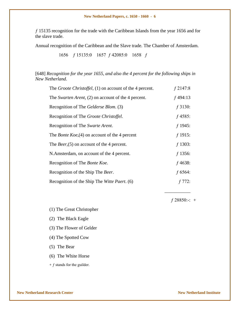ƒ 15135 recognition for the trade with the Caribbean Islands from the year 1656 and for the slave trade.

Annual recognition of the Caribbean and the Slave trade. The Chamber of Amsterdam.

1656 ƒ 15135:0 1657 ƒ 42085:0 1658 ƒ

[648] *Recognition for the year 1655, and also the 4 percent for the following ships in New Netherland.*

| The <i>Groote Christoffel</i> , (1) on account of the 4 percent. | $f$ 2147:8 |
|------------------------------------------------------------------|------------|
| The Swarten Arent, $(2)$ on account of the 4 percent.            | $f$ 494:13 |
| Recognition of The Gelderse Blom. (3)                            | $f$ 3130:  |
| Recognition of The <i>Groote Christoffel</i> .                   | $f$ 4585:  |
| Recognition of The Swarte Arent.                                 | $f$ 1945:  |
| The <i>Bonte Koe</i> , $(4)$ on account of the 4 percent         | $f$ 1915:  |
| The <i>Beer</i> , $(5)$ on account of the 4 percent.             | $f$ 1303:  |
| N.Amsterdam, on account of the 4 percent.                        | $f$ 1356:  |
| Recognition of The Bonte Koe.                                    | $f$ 4638:  |
| Recognition of the Ship The Beer.                                | $f$ 6564:  |
| Recognition of the Ship The Witte Paert. (6)                     | $f\,772:$  |

 $f$  28850:-: +

\_\_\_\_\_\_\_\_\_\_\_

(1) The Great Christopher

(2) The Black Eagle

(3) The Flower of Gelder

(4) The Spotted Cow

(5) The Bear

(6) The White Horse

 $+ f$  stands for the guilder.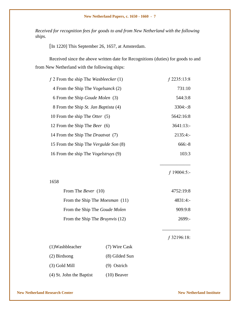*Received for recognition fees for goods to and from New Netherland with the following ships.* 

[In 1220] This September 26, 1657, at Amsterdam.

Received since the above written date for Recognitions (duties) for goods to and from New Netherland with the following ships:

| $f$ 2 From the ship The <i>Wasbleecker</i> (1) | $f$ 2235:13:8 |
|------------------------------------------------|---------------|
| 4 From the Ship The <i>Vogelsanck</i> (2)      | 731:10        |
| 6 From the Ship <i>Goude Molen</i> (3)         | 544:3:8       |
| 8 From the Ship St. Jan Baptista (4)           | $3304:-:8$    |
| 10 From the ship The Otter (5)                 | 5642:16:8     |
| 12 From the Ship The Beer (6)                  | 3641:13:      |
| 14 From the Ship The <i>Draatvat</i> (7)       | $2135:4: -$   |
| 15 From the Ship The Vergulde Son (8)          | $666: -8$     |
| 16 From the ship The <i>Vogelstruys</i> (9)    | 103:3         |
|                                                |               |

ƒ 19004:5:-

# From The *Bever* (10) 4752:19:8 From the Ship The *Moesman* (11) 4831:4:-From the Ship The *Goude Molen* 909:9:8 From the Ship The *Bruynvis* (12) 2699:-

ƒ 32196:18:

\_\_\_\_\_\_\_\_\_\_\_\_

| (1)Washbleacher          | (7) Wire Cask  |
|--------------------------|----------------|
| (2) Birdsong             | (8) Gilded Sun |
| (3) Gold Mill            | $(9)$ Ostrich  |
| (4) St. John the Baptist | $(10)$ Beaver  |

1658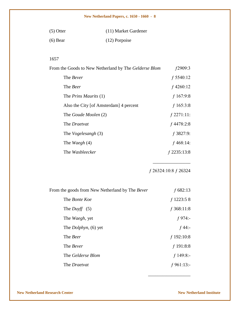| $(5)$ Otter | (11) Market Gardener |
|-------------|----------------------|
| $(6)$ Bear  | (12) Porpoise        |

#### 1657

| From the Goods to New Netherland by The Gelderse Blom | f2909:3       |
|-------------------------------------------------------|---------------|
| The <i>Bever</i>                                      | $f$ 5540:12   |
| The <i>Beer</i>                                       | $f$ 4260:12   |
| The <i>Prins Maurits</i> (1)                          | $f$ 167:9:8   |
| Also the City [of Amsterdam] 4 percent                | $f$ 165:3:8   |
| The Goude Moolen (2)                                  | $f$ 2271:11:  |
| The <i>Draetvat</i>                                   | $f$ 4478:2:8  |
| The <i>Vogelesangh</i> (3)                            | $f$ 3827:9:   |
| The <i>Waegh</i> (4)                                  | $f$ 468:14:   |
| The Wasbleecker                                       | $f$ 2235:13:8 |
|                                                       |               |

ƒ 26324:10:8 ƒ 26324

\_\_\_\_\_\_\_\_\_\_\_\_\_\_\_\_\_\_

\_\_\_\_\_\_\_\_\_\_\_\_\_\_\_\_

| From the goods from New Netherland by The <i>Bever</i> | $f$ 682:13   |
|--------------------------------------------------------|--------------|
| The <i>Bonte Koe</i>                                   | $f$ 1223:58  |
| The <i>Duyff</i> $(5)$                                 | $f$ 368:11:8 |
| The <i>Waegh</i> , yet                                 | $f 974$ :-   |
| The <i>Dolphyn</i> , (6) yet                           | $f$ 44:-     |
| The <i>Beer</i>                                        | $f$ 192:10:8 |
| The <i>Bever</i>                                       | $f$ 191:8:8  |
| The Gelderse Blom                                      | $f$ 149:8:-  |
| The <i>Draetvat</i>                                    | $f$ 961:13:- |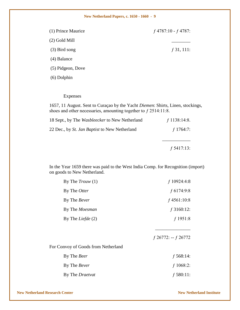| (1) Prince Maurice | $f$ 4787:10 - $f$ 4787: |
|--------------------|-------------------------|
| $(2)$ Gold Mill    |                         |
| $(3)$ Bird song    | $f$ 31, 111:            |
| $(4)$ Balance      |                         |
| (5) Pidgeon, Dove  |                         |
| $(6)$ Dolphin      |                         |

#### Expenses

1657, 11 August. Sent to Curaçao by the Yacht *Diemen*: Shirts, Linen, stockings, shoes and other necessaries, amounting together to  $f$  2514:11:8.

| $f$ 1138:14:8. |
|----------------|
| f 1764:7:      |
| $f$ 5417:13:   |
|                |

In the Year 1659 there was paid to the West India Comp. for Recognition (import) on goods to New Netherland.

| By The $Trow(1)$                    | $f$ 10924:4:8           |
|-------------------------------------|-------------------------|
| By The Otter                        | f 6174:9:8              |
| By The Bever                        | $f$ 4561:10:8           |
| By The <i>Moesman</i>               | $f$ 3160:12:            |
| By The <i>Liefde</i> $(2)$          | $f$ 1951:8              |
|                                     |                         |
|                                     | $f$ 26772: -- $f$ 26772 |
| For Convoy of Goods from Netherland |                         |
| By The Beer                         | $f$ 568:14:             |
| By The Bever                        | $f$ 1068:2:             |
| By The Draetvat                     | $f$ 580:11:             |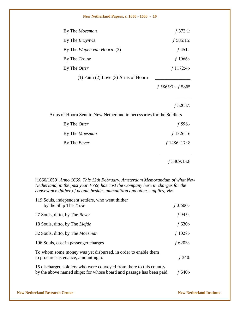| By The <i>Moesman</i>                      | $f$ 373:1:        |
|--------------------------------------------|-------------------|
| By The <i>Bruynvis</i>                     | $f$ 585:15:       |
| By The <i>Wapen van Hoorn</i> (3)          | $f$ 451:-         |
| By The <i>Trouw</i>                        | f 1066:-          |
| By The Otter                               | $f$ 1172:4:-      |
| $(1)$ Faith $(2)$ Love $(3)$ Arms of Hoorn |                   |
|                                            | f 5865:7:- f 5865 |
|                                            |                   |

ƒ 32637:

Arms of Hoorn Sent to New Netherland in necessaries for the Soldiers

| By The Otter          | f 596.-         |
|-----------------------|-----------------|
| By The <i>Moesman</i> | $f$ 1326:16     |
| By The <i>Bever</i>   | $f$ 1486: 17: 8 |
|                       |                 |

ƒ 3409:13:8

[1660/1659] *Anno 1660, This 12th February, Amsterdam Memorandum of what New Netherland, in the past year 1659, has cost the Company here in charges for the conveyance thither of people besides ammunition and other supplies; viz:*

| 119 Souls, independent settlers, who went thither<br>by the Ship The Trow                                                                   | $f$ 3,600:-  |
|---------------------------------------------------------------------------------------------------------------------------------------------|--------------|
| 27 Souls, ditto, by The Bever                                                                                                               | $f 945$ :-   |
| 18 Souls, ditto, by The Liefde                                                                                                              | $f$ 630:-    |
| 32 Souls, ditto, by The <i>Moesman</i>                                                                                                      | $f\ 1028$ :- |
| 196 Souls, cost in passenger charges                                                                                                        | f $6203$ :-  |
| To whom some money was yet disbursed, in order to enable them<br>to procure sustenance, amounting to                                        | f 240:       |
| 15 discharged soldiers who were conveyed from there to this country<br>by the above named ships; for whose board and passage has been paid. | f 540:-      |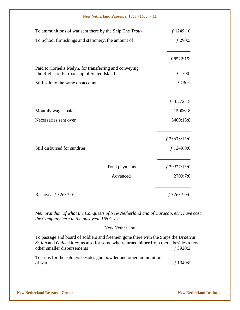| To ammunitions of war sent there by the Ship The Trouw                                               | $f$ 1249:10    |
|------------------------------------------------------------------------------------------------------|----------------|
| To School furnishings and stationery, the amount of                                                  | $f$ 290:5      |
|                                                                                                      | $f$ 8522:15:   |
| Paid to Cornelis Melyn, for transferring and conveying<br>the Rights of Patroonship of Staten Island | $f$ 1500:      |
| Still paid to the same on account                                                                    | $f$ 250:-      |
|                                                                                                      | $f$ 10272:15   |
| Monthly wages paid                                                                                   | 15006: 8       |
| Necessaries sent over                                                                                | 3409:13:8      |
|                                                                                                      | $f$ 28678:13:0 |
| Still disbursed for sundries                                                                         | $f$ 1249:0:0   |
| Total payments                                                                                       | $f$ 29927:13:0 |
| Advanced                                                                                             | 2709:7:0       |
| Received $f$ 32637:0                                                                                 | $f$ 32637:0:0  |

*Memorandum of what the Conquests of New Netherland and of Curaçao, etc., have cost the Company here in the past year 1657; viz:*

#### New Netherland

To passage and board of soldiers and freemen gone there with the Ships the *Draetvat*, *St.Jan* and *Gulde Otter*, as also for some who returned hither from there, besides a few other smaller disbursements f 3920:2

To arms for the soldiers besides gun powder and other ammunition of war  $f$  1349:8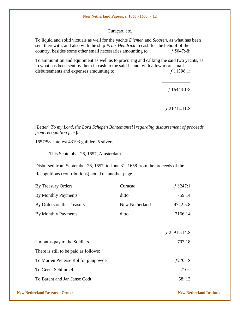Curaçao, etc.

To liquid and solid victuals as well for the yachts *Diemen* and *Slooten*, as what has been sent therewith, and also with the ship *Prins Hendrick* in cash for the behoof of the country, besides some other small necessaries amounting to  $f$  5047:-8:

To ammunition and equipment as well as to procuring and calking the said two yachts, as to what has been sent by them in cash to the said Island, with a few more small disbursements and expenses amounting to  $f\ 11396:1$ :

ƒ 16443:1:8

\_\_\_\_\_\_\_\_\_\_\_\_

ƒ 21712:11:8

\_\_\_\_\_\_\_\_\_\_\_\_\_\_

[*Letter*] *To my Lord, the Lord Schepen Bontemantel* [*regarding disbursement of proceeds from recognition fees*]*.*

1657/58. Interest 43193 guilders 5 stivers.

This September 26, 1657, Amsterdam.

Disbursed from September 26, 1657, to June 31, 1658 from the proceeds of the Recognitions (contributions) noted on another page.

| By Treasury Orders                    | Curaçao        | f 8247:1       |
|---------------------------------------|----------------|----------------|
| By Monthly Payments                   | ditto          | 759:14         |
| By Orders on the Treasury             | New Netherland | 9742:5:8       |
| By Monthly Payments                   | ditto          | 7166:14        |
|                                       |                |                |
|                                       |                | $f$ 25915:14:8 |
| 2 months pay to the Soldiers          |                | 797:18         |
| There is still to be paid as follows: |                |                |
| To Marten Pieterse Rol for gunpowder  |                | f270:18        |
| To Gerrit Schimmel                    |                | $210: -$       |
| To Barent and Jan Janse Codt          |                | 58:13          |
|                                       |                |                |

#### **New Netherland Research Center New Netherland Institute**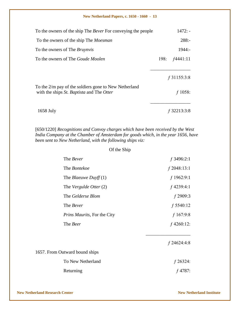| To the owners of the ship The <i>Bever</i> For conveying the people                                              |      | $1472: -$     |
|------------------------------------------------------------------------------------------------------------------|------|---------------|
| To the owners of the ship The <i>Moesman</i>                                                                     |      | $288: -$      |
| To the owners of The <i>Bruynvis</i>                                                                             |      | $1944: -$     |
| To the owners of The <i>Goude Moolen</i>                                                                         | 198: | f4441:11      |
|                                                                                                                  |      |               |
|                                                                                                                  |      | $f$ 31155:3:8 |
| To the 2/m pay of the soldiers gone to New Netherland<br>with the ships <i>St. Baptista</i> and The <i>Otter</i> |      | $f\,1058$ :   |
| $1658$ July                                                                                                      |      | 32213:3:8     |

[650/1220] *Recognitions and Convoy charges which have been received by the West India Company at the Chamber of Amsterdam for goods which, in the year 1656, have been sent to New Netherland, with the following ships viz:*

Of the Ship

| The <i>Bever</i>               | $f$ 3496:2:1  |
|--------------------------------|---------------|
| The <i>Bontekoe</i>            | $f$ 2048:13:1 |
| The <i>Blaeuwe Duyff</i> $(1)$ | $f$ 1962:9:1  |
| The Vergulde Otter (2)         | $f$ 4239:4:1  |
| The Gelderse Blom              | $f$ 2909:3    |
| The Bever                      | $f$ 5540:12   |
| Prins Maurits, For the City    | $f$ 167:9:8   |
| The Beer                       | $f$ 4260:12:  |
|                                | $f$ 24624:4:8 |
| 1657. From Outward bound ships |               |
| To New Netherland              | $f$ 26324:    |
| Returning                      | f 4787:       |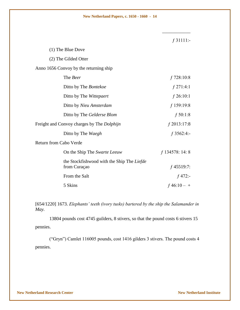\_\_\_\_\_\_\_\_\_\_\_\_

|                                                            | $f$ 31111:-       |
|------------------------------------------------------------|-------------------|
| (1) The Blue Dove                                          |                   |
| (2) The Gilded Otter                                       |                   |
| Anno 1656 Convoy by the returning ship                     |                   |
| The Beer                                                   | $f$ 728:10:8      |
| Ditto by The Bontekoe                                      | $f$ 271:4:1       |
| Ditto by The Wittepaert                                    | $f$ 26:10:1       |
| Ditto by Nieu Amsterdam                                    | $f$ 159:19:8      |
| Ditto by The Gelderse Blom                                 | f 50:1:8          |
| Freight and Convoy charges by The <i>Dolphijn</i>          | $f$ 2013:17:8     |
| Ditto by The Waegh                                         | $f$ 3562:4:-      |
| <b>Return from Cabo Verde</b>                              |                   |
| On the Ship The Swarte Leeuw                               | $f$ 134578: 14: 8 |
| the Stockfishwood with the Ship The Liefde<br>from Curaçao | $f$ 45519:7:      |
| From the Salt                                              | $f$ 472:-         |
| 5 Skins                                                    | $f\,46:10-+$      |

[654/1220] 1673. *Elephants' teeth (ivory tusks) bartered by the ship the Salamander in May.*

13804 pounds cost 4745 guilders, 8 stivers, so that the pound costs 6 stivers 15 pennies.

("Gryn") Camlet 116005 pounds, cost 1416 gilders 3 stivers. The pound costs 4 pennies.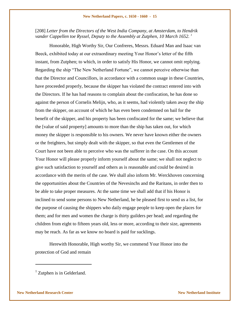[208] *Letter from the Directors of the West India Company, at Amsterdam, to Hendrik* vander Cappellen toe Ryssel, Deputy to the Assembly at Zutphen, 10 March 1652. <sup>1</sup>

Honorable, High Worthy Sir, Our Confreres, Messrs. Eduard Man and Isaac van Beeck, exhibited today at our extraordinary meeting Your Honor's letter of the fifth instant, from Zutphen; to which, in order to satisfy His Honor, we cannot omit replying. Regarding the ship "The New Netherland Fortune", we cannot perceive otherwise than that the Director and Councillors, in accordance with a common usage in these Countries, have proceeded properly, because the skipper has violated the contract entered into with the Directors. If he has had reasons to complain about the confiscation, he has done so against the person of Cornelis Melijn, who, as it seems, had violently taken away the ship from the skipper, on account of which he has even been condemned on bail for the benefit of the skipper, and his property has been confiscated for the same; we believe that the [value of said property] amounts to more than the ship has taken out, for which money the skipper is responsible to his owners. We never have known either the owners or the freighters, but simply dealt with the skipper, so that even the Gentlemen of the Court have not been able to perceive who was the sufferer in the case. On this account Your Honor will please properly inform yourself about the same; we shall not neglect to give such satisfaction to yourself and others as is reasonable and could be desired in accordance with the merits of the case. We shall also inform Mr. Werckhoven concerning the opportunities about the Countries of the Nevesinchs and the Raritans, in order then to be able to take proper measures. At the same time we shall add that if his Honor is inclined to send some persons to New Netherland, he be pleased first to send us a list, for the purpose of causing the shippers who daily engage people to keep open the places for them; and for men and women the charge is thirty guilders per head; and regarding the children from eight to fifteen years old, less or more, according to their size, agreements may be reach. As far as we know no board is paid for sucklings.

Herewith Honorable, High worthy Sir, we commend Your Honor into the protection of God and remain

 $\overline{a}$ 

<sup>&</sup>lt;sup>1</sup> Zutphen is in Gelderland.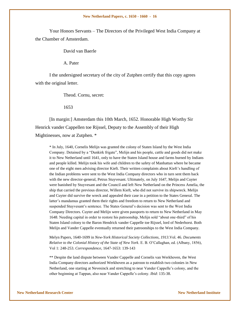Your Honors Servants – The Directors of the Privileged West India Company at the Chamber of Amsterdam.

David van Baerle

A. Pater

I the undersigned secretary of the city of Zutphen certify that this copy agrees with the original letter.

Theod. Cornu, secret:

#### 1653

[In margin:] Amsterdam this 10th March, 1652. Honorable High Worthy Sir Henrick vander Cappellen toe Rijssel, Deputy to the Assembly of their High Mightinesses, now at Zutphen. \*

\* In July, 1640, Cornelis Melijn was granted the colony of Staten Island by the West India Company. Detained by a "Dunkirk frigate", Melijn and his people, cattle and goods did not make it to New Netherland until 1641, only to have the Staten Island house and farms burned by Indians and people killed. Melijn took his wife and children to the safety of Manhattan where he became one of the eight men advising director Kieft. Their written complaints about Kieft"s handling of the Indian problems were sent to the West India Company directors who in turn sent them back with the new director-general, Petrus Stuyvesant. Ultimately, on July 1647, Melijn and Cuyter were banished by Stuyvesant and the Council and left New Netherland on the Princess Amelia, the ship that carried the previous director, Willem Kieft, who did not survive its shipwreck. Melijn and Cuyter did survive the wreck and appealed their case in a petition to the States General. The latter's mandamus granted them their rights and freedom to return to New Netherland and suspended Stuyvesant's sentence. The States General's decision was sent to the West India Company Directors. Cuyter and Melijn were given passports to return to New Netherland in May 1648. Needing capital in order to restore his patroonship, Melijn sold "about one-third" of his Staten Island colony to the Baron Hendrick vander Cappelle toe Rijssel, lord of Nederhorst. Both Melijn and Vander Cappelle eventually returned their patroonships to the West India Company.

Melyn Papers, 1640-1699 in *New-York Historical Society Collections, 1913*.Vol. 46. *Documents Relative to the Colonial History of the State of New York*. E. B. O"Callaghan, ed. (Albany, 1856), Vol 1: 248-253. *Correspondence*, 1647-1653: 139-143

\*\* Despite the land dispute between Vander Cappelle and Cornelis van Werkhoven, the West India Company directors authorized Werkhoven as a patroon to establish two colonies in New Netherland, one starting at Nevesinck and stretching to near Vander Cappelle"s colony, and the other beginning at Tappan, also near Vander Cappelle"s colony. *Ibid*: 135-38.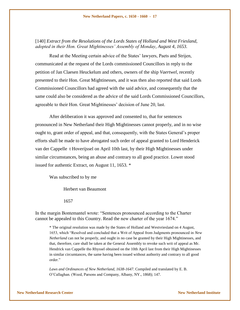[140] *Extract from the Resolutions of the Lords States of Holland and West Friesland, adopted in their Hon. Great Mightinesses' Assembly of Monday, August 4, 1653.* 

Read at the Meeting certain advice of the States' lawyers, Paets and Strijen, communicated at the request of the Lords commissioned Councillors in reply to the petition of Jan Claesen Heuckelum and others, owners of the ship *Vaertwel*, recently presented to their Hon. Great Mightinesses, and it was then also reported that said Lords Commissioned Councillors had agreed with the said advice, and consequently that the same could also be considered as the advice of the said Lords Commissioned Councillors, agreeable to their Hon. Great Mightinesses' decision of June 20, last.

After deliberation it was approved and consented to, that for sentences pronounced in New Netherland their High Mightinesses cannot properly, and in no wise ought to, grant order of appeal, and that, consequently, with the States General"s proper efforts shall be made to have abrogated such order of appeal granted to Lord Henderick van der Cappelle t Hoverijssel on April 10th last, by their High Mightinesses under similar circumstances, being an abuse and contrary to all good practice. Lower stood issued for authentic Extract, on August 11, 1653. \*

Was subscribed to by me

Herbert van Beaumont

1657

In the margin Bontemantel wrote: "Sentences pronounced according to the Charter cannot be appealed to this Country. Read the new charter of the year 1674."

\* The original resolution was made by the States of Holland and Westvriesland on 4 August, 1653, which "Resolved and concluded that a Writ of Appeal from Judgments pronounced in *New Netherland* can not be properly, and ought in no case be granted by their High Mightinesses, and that, therefore, care shall be taken at the General Assembly to revoke such writ of appeal as Mr. Hendrick van Cappelle tho Rhyssel obtained on the 10th April last from their High Mightinesses in similar circumtances, the same having been issued without authority and contrary to all good order."

*Laws and Ordinances of New Netherland, 1638-1647*. Compiled and translated by E. B. O"Callaghan. (Weed, Parsons and Company, Albany, NY., 1868); 147.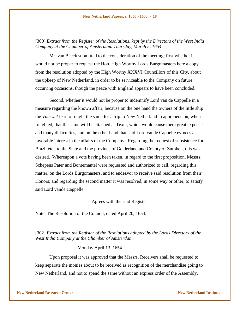#### [300] *Extract from the Register of the Resolutions, kept by the Directors of the West India Company at the Chamber of Amsterdam. Thursday, March 5, 1654.*

Mr. van Beeck submitted to the consideration of the meeting; first whether it would not be proper to request the Hon. High Worthy Lords Burgomasters here a copy from the resolution adopted by the High Worthy XXXVI Councillors of this City, about the upkeep of New Netherland, in order to be serviceable to the Company on future occurring occasions, though the peace with England appears to have been concluded.

Second, whether it would not be proper to indemnify Lord van de Cappelle in a measure regarding the known affair, because on the one hand the owners of the little ship the *Vaerwel* fear to freight the same for a trip to New Netherland in apprehension, when freighted, that the same will be attached at Texel, which would cause them great expense and many difficulties, and on the other hand that said Lord vande Cappelle evinces a favorable interest in the affairs of the Company. Regarding the request of subsistence for Brazil etc., to the State and the province of Gelderland and County of Zutphen, this was desired. Whereupon a vote having been taken, in regard to the first proposition, Messrs. Schepens Pater and Bontemantel were requested and authorized to call, regarding this matter, on the Lords Burgomasters, and to endeavor to receive said resolution from their Honors; and regarding the second matter it was resolved, in some way or other, to satisfy said Lord vande Cappelle.

#### Agrees with the said Register

Note: The Resolution of the Council, dated April 20, 1654.

[302] *Extract from the Register of the Resolutions adopted by the Lords Directors of the West India Company at the Chamber of Amsterdam.*

#### Monday April 13, 1654

Upon proposal it was approved that the Messrs. Receivers shall be requested to keep separate the monies about to be received as recognition of the merchandise going to New Netherland, and not to spend the same without an express order of the Assembly.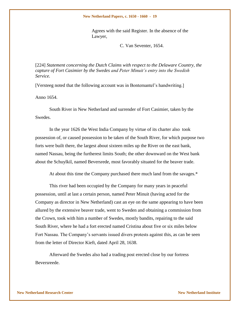Agrees with the said Register. In the absence of the Lawyer,

C. Van Seventer, 1654.

[224] *Statement concerning the Dutch Claims with respect to the Delaware Country, the capture of Fort Casimier by the Swedes and Peter Minuit's entry into the Swedish Service.*

[Versteeg noted that the following account was in Bontemantel's handwriting.]

Anno 1654.

South River in New Netherland and surrender of Fort Casimier, taken by the Swedes.

In the year 1626 the West India Company by virtue of its charter also took possession of, or caused possession to be taken of the South River, for which purpose two forts were built there, the largest about sixteen miles up the River on the east bank, named Nassau, being the furtherest limits South; the other downward on the West bank about the Schuylkil, named Beversrede, most favorably situated for the beaver trade.

At about this time the Company purchased there much land from the savages.\*

This river had been occupied by the Company for many years in peaceful possession, until at last a certain person, named Peter Minuit (having acted for the Company as director in New Netherland) cast an eye on the same appearing to have been allured by the extensive beaver trade, went to Sweden and obtaining a commission from the Crown, took with him a number of Swedes, mostly bandits, repairing to the said South River, where he had a fort erected named Cristina about five or six miles below Fort Nassau. The Company's servants issued divers protests against this, as can be seen from the letter of Director Kieft, dated April 28, 1638.

Afterward the Swedes also had a trading post erected close by our fortress Beversreede.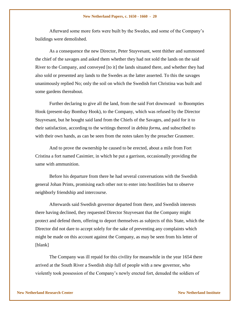Afterward some more forts were built by the Swedes, and some of the Company"s buildings were demolished.

As a consequence the new Director, Peter Stuyvesant, went thither and summoned the chief of the savages and asked them whether they had not sold the lands on the said River to the Company, and conveyed [to it] the lands situated there, and whether they had also sold or presented any lands to the Swedes as the latter asserted. To this the savages unanimously replied No; only the soil on which the Swedish fort Christina was built and some gardens thereabout.

Further declaring to give all the land, from the said Fort downward to Boompties Hook (present-day Bombay Hook), to the Company, which was refused by the Director Stuyvesant, but he bought said land from the Chiefs of the Savages, and paid for it to their satisfaction, according to the writings thereof in *debita form*a, and subscribed to with their own hands, as can be seen from the notes taken by the preacher Grasmeer.

And to prove the ownership he caused to be erected, about a mile from Fort Cristina a fort named Casimier, in which he put a garrison, occasionally providing the same with ammunition.

Before his departure from there he had several conversations with the Swedish general Johan Prints, promising each other not to enter into hostilities but to observe neighborly friendship and intercourse.

Afterwards said Swedish governor departed from there, and Swedish interests there having declined, they requested Director Stuyvesant that the Company might protect and defend them, offering to deport themselves as subjects of this State, which the Director did not dare to accept solely for the sake of preventing any complaints which might be made on this account against the Company, as may be seen from his letter of [blank]

The Company was ill repaid for this civility for meanwhile in the year 1654 there arrived at the South River a Swedish ship full of people with a new governor, who violently took possession of the Company"s newly erected fort, denuded the soldiers of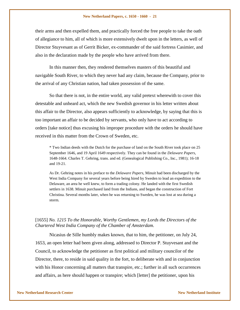their arms and then expelled them, and practically forced the free people to take the oath of allegiance to him, all of which is more extensively dwelt upon in the letters, as well of Director Stuyvesant as of Gerrit Bicker, ex-commander of the said fortress Casimier, and also in the declaration made by the people who have arrived from there.

In this manner then, they rendered themselves masters of this beautiful and navigable South River, to which they never had any claim, because the Company, prior to the arrival of any Christian nation, had taken possession of the same.

So that there is not, in the entire world, any valid pretext wherewith to cover this detestable and unheard act, which the new Swedish governor in his letter written about this affair to the Director, also appears sufficiently to acknowledge, by saying that this is too important an affair to be decided by servants, who only have to act according to orders [take notice] thus excusing his improper procedure with the orders he should have received in this matter from the Crown of Sweden, etc.

\* Two Indian deeds with the Dutch for the purchase of land on the South River took place on 25 September 1646, and 19 April 1649 respectively. They can be found in the *Delaware Papers*, 1648-1664. Charles T. Gehring, trans. and ed. (Genealogical Publishing Co., Inc., 1981); 16-18 and 19-21.

As Dr. Gehring notes in his preface to the *Delaware Papers*, Minuit had been discharged by the West India Company for several years before being hired by Sweden to lead an expedition to the Delaware, an area he well knew, to form a trading colony. He landed with the first Swedish settlers in 1638. Minuit purchased land from the Indians, and began the construction of Fort Christina. Several months later, when he was returning to Sweden, he was lost at sea during a storm.

#### [1655] *No. 1215 To the Honorable, Worthy Gentlemen, my Lords the Directors of the Chartered West India Company of the Chamber of Amsterdam.*

Nicasius de Sille humbly makes known, that to him, the petitioner, on July 24, 1653, an open letter had been given along, addressed to Director P. Stuyvesant and the Council, to acknowledge the petitioner as first political and military councilor of the Director, there, to reside in said quality in the fort, to deliberate with and in conjunction with his Honor concerning all matters that transpire, etc.; further in all such occurrences and affairs, as here should happen or transpire; which [letter] the petitioner, upon his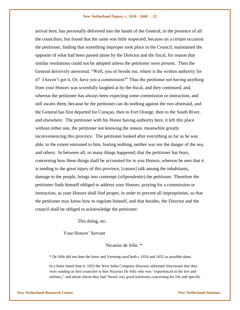arrival here, has personally delivered into the hands of the General, in the presence of all the councilors; but found that the same was little respected, because on a certain occasion the petitioner, finding that something improper took place in the Council, maintained the opposite of what had been passed alone by the Director and the fiscal, for reason that similar resolutions could not be adopted unless the petitioner were present. Then the General derisively answered, "Well, you sit beside me, where is the written authority for it? I haven't got it, Or, have you a commission?" Thus the petitioner not having anything from your Honors was scornfully laughed at by the fiscal, and they continued; and, whereas the petitioner has always been expecting some commission or instruction, and still awaits them, because he the petitioner can do nothing against the two aforesaid, and the General has first departed for Curaçao, then to Fort Orange, then to the South River, and elsewhere. The petitioner with his Honor having authority here, it left this place without either one, the petitioner not knowing the reason, meanwhile greatly inconveniencing this province. The petitioner looked after everything so far as he was able, to the extent entrusted to him, fearing nothing, neither war nor the danger of the sea, and others. In between all, so many things happened, that the petitioner has fears, concerning how these things shall be accounted for to you Honors, whereas he sees that it is tending to the great injury of this province, [causes] talk among the inhabitants, damage to the people, brings into contempt (*vilipendentie*) the petitioner. Therefore the petitioner finds himself obliged to address your Honors, praying for a commission or instruction, as your Honors shall find proper, in order to prevent all improprieties, so that the petitioner may know how to regulate himself, and that besides, the Director and the council shall be obliged to acknowledge the petitioner.

This doing, etc.

Your Honors" Servant

Nicasius de Sille. \*

\* De Sille did not date the letter and Versteeg used both c.1654 and 1655 as possible dates.

In a letter dated June 6, 1653 the West India Company directors informed Stuyvesant that they were sending as first councilor to him Nicasius De Sille who was "experienced in the law and military," and about whom they had "heard very good testimony concerning his life and specific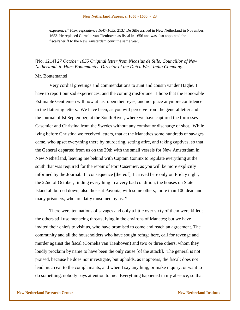experience." (*Correspondence 1647-1653*, 213.) De Sille arrived in New Netherland in November, 1653. He replaced Cornelis van Tienhoven as fiscal in 1656 and was also appointed the fiscal/sheriff to the New Amsterdam court the same year.

#### [No. 1214] *27 October 1655 Original letter from Nicasius de Sille. Councillor of New Netherland, to Hans Bontemantel, Director of the Dutch West India Company.*

#### Mr. Bontemantel:

Very cordial greetings and commendations to aunt and cousin vander Haghe. I have to report our sad experiences, and the coming misfortune. I hope that the Honorable Estimable Gentlemen will now at last open their eyes, and not place anymore confidence in the flattering letters. We have been, as you will perceive from the general letter and the journal of lst September, at the South River, where we have captured the fortresses Casemier and Christina from the Swedes without any combat or discharge of shot. While lying before Christina we received letters, that at the Manathes some hundreds of savages came, who upset everything there by murdering, setting afire, and taking captives, so that the General departed from us on the 29th with the small vessels for New Amsterdam in New Netherland, leaving me behind with Captain Coninx to regulate everything at the south that was required for the repair of Fort Casemier, as you will be more explicitly informed by the Journal. In consequence [thereof], I arrived here only on Friday night, the 22nd of October, finding everything in a very bad condition, the houses on Staten Island all burned down, also those at Pavonia, with some others; more than 100 dead and many prisoners, who are daily ransomed by us. \*

There were ten nations of savages and only a little over sixty of them were killed; the others still use menacing threats, lying in the environs of Manates; but we have invited their chiefs to visit us, who have promised to come and reach an agreement. The community and all the householders who have sought refuge here, call for revenge and murder against the fiscal (Cornelis van Tienhoven) and two or three others, whom they loudly proclaim by name to have been the only cause [of the attack]. The general is not praised, because he does not investigate, but upholds, as it appears, the fiscal; does not lend much ear to the complainants, and when I say anything, or make inquiry, or want to do something, nobody pays attention to me. Everything happened in my absence, so that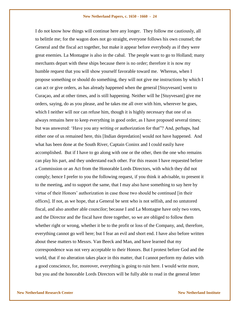I do not know how things will continue here any longer. They follow me cautiously, all to belittle me; for the wagon does not go straight, everyone follows his own counsel; the General and the fiscal act together, but make it appear before everybody as if they were great enemies. La Montagne is also in the cabal. The people want to go to Holland; many merchants depart with these ships because there is no order; therefore it is now my humble request that you will show yourself favorable toward me. Whereas, when I propose something or should do something, they will not give me instructions by which I can act or give orders, as has already happened when the general [Stuyvesant] went to Curaçao, and at other times, and is still happening. Neither will he [Stuyvesant] give me orders, saying, do as you please, and he takes me all over with him, wherever he goes, which I neither will nor can refuse him, though it is highly necessary that one of us always remains here to keep everything in good order, as I have proposed several times; but was answered: "Have you any writing or authorization for that"? And, perhaps, had either one of us remained here, this [Indian depredation] would not have happened. And what has been done at the South River, Captain Coninx and I could easily have accomplished. But if I have to go along with one or the other, then the one who remains can play his part, and they understand each other. For this reason I have requested before a Commission or an Act from the Honorable Lords Directors, with which they did not comply; hence I prefer to you the following request, if you think it advisable, to present it to the meeting, and to support the same, that I may also have something to say here by virtue of their Honors" authorization in case those two should be continued [in their offices]. If not, as we hope, that a General be sent who is not selfish, and no untutored fiscal, and also another able councilor; because I and La Montagne have only two votes, and the Director and the fiscal have three together, so we are obliged to follow them whether right or wrong, whether it be to the profit or loss of the Company, and, therefore, everything cannot go well here; but I fear an evil and short end. I have also before written about these matters to Messrs. Van Beeck and Man, and have learned that my correspondence was not very acceptable to their Honors. But I protest before God and the world, that if no alteration takes place in this matter, that I cannot perform my duties with a good conscience, for, moreover, everything is going to ruin here. I would write more, but you and the honorable Lords Directors will be fully able to read in the general letter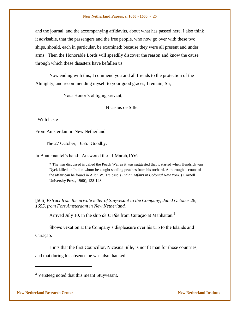and the journal, and the accompanying affidavits, about what has passed here. I also think it advisable, that the passengers and the free people, who now go over with these two ships, should, each in particular, be examined; because they were all present and under arms. Then the Honorable Lords will speedily discover the reason and know the cause through which these disasters have befallen us.

Now ending with this, I commend you and all friends to the protection of the Almighty; and recommending myself to your good graces, I remain, Sir,

Your Honor's obliging servant,

Nicasius de Sille.

With haste

From Amsterdam in New Netherland

The 27 October, 1655. Goodby.

In Bontemantel"s hand: Answered the 11 March,1656

\* The war discussed is called the Peach War as it was suggested that it started when Hendrick van Dyck killed an Indian whom he caught stealing peaches from his orchard. A thorough account of the affair can be found in Allen W. Trelease"s *Indian Affairs in Colonial New York*. ( Cornell University Press, 1960); 138-148.

[506] *Extract from the private letter of Stuyvesant to the Company, dated October 28, 1655, from Fort Amsterdam in New Netherland.*

Arrived July 10, in the ship *de Liefde* from Curaçao at Manhattan.<sup>2</sup>

Shows vexation at the Company"s displeasure over his trip to the Islands and Curaçao.

Hints that the first Councillor, Nicasius Sille, is not fit man for those countries, and that during his absence he was also thanked.

l

 $2$  Versteeg noted that this meant Stuyvesant.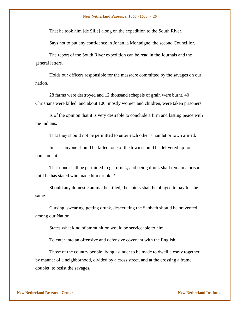That he took him [de Sille] along on the expedition to the South River.

Says not to put any confidence in Johan la Montaigne, the second Councillor.

The report of the South River expedition can be read in the Journals and the general letters.

Holds our officers responsible for the massacre committed by the savages on our nation.

28 farms were destroyed and 12 thousand schepels of grain were burnt, 40 Christians were killed, and about 100, mostly women and children, were taken prisoners.

Is of the opinion that it is very desirable to conclude a firm and lasting peace with the Indians.

That they should not be permitted to enter each other's hamlet or town armed.

In case anyone should be killed, one of the town should be delivered up for punishment.

That none shall be permitted to get drunk, and being drunk shall remain a prisoner until he has stated who made him drunk. \*

Should any domestic animal be killed, the chiefs shall be obliged to pay for the same.

Cursing, swearing, getting drunk, desecrating the Sabbath should be prevented among our Nation. +

States what kind of ammunition would be serviceable to him.

To enter into an offensive and defensive covenant with the English.

Those of the country people living asunder to be made to dwell closely together, by manner of a neighborhood, divided by a cross street, and at the crossing a frame doublet, to resist the savages.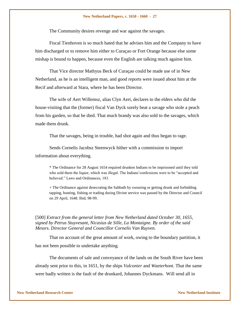The Community desires revenge and war against the savages.

Fiscal Tienhoven is so much hated that he advises him and the Company to have him discharged or to remove him either to Curaçao or Fort Orange because else some mishap is bound to happen, because even the English are talking much against him.

That Vice director Mathyus Beck of Curaçao could be made use of in New Netherland, as he is an intelligent man, and good reports were issued about him at the Recif and afterward at Stara, where he has been Director.

The wife of Aert Willemsz, alias Clyn Aert, declares to the elders who did the house-visiting that the (former) fiscal Van Dyck sorely beat a savage who stole a peach from his garden, so that he died. That much brandy was also sold to the savages, which made them drunk.

That the savages, being in trouble, had shot again and thus began to rage.

Sends Cornelis Jacobsz Steenwyck hither with a commission to import information about everything.

\* The Ordinance for 28 August 1654 required drunken Indians to be imprisoned until they told who sold them the liquor, which was illegal. The Indians' confessions were to be "accepted and believed." Laws and Ordinances, 183.

+ The Ordinance against desecrating the Sabbath by swearing or getting drunk and forbidding tapping, hunting, fishing or trading during Divine service was passed by the Director and Council on 29 April, 1648. Ibid, 98-99.

[500] *Extract from the general letter from New Netherland dated October 30, 1655, signed by Petrus Stuyvesant, Nicasius de Sille, La Montaigne. By order of the said Messrs. Director General and Councillor Cornelis Van Ruyven.*

That on account of the great amount of work, owing to the boundary partition, it has not been possible to undertake anything.

The documents of sale and conveyance of the lands on the South River have been already sent prior to this, in 1651, by the ships *Valconier* and *Waeterhont*. That the same were badly written is the fault of the drunkard, Johannes Dyckmans. Will send all in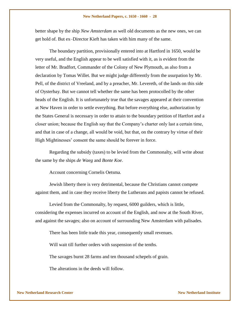better shape by the ship *New Amsterdam* as well old documents as the new ones, we can get hold of. But ex–Director Kieft has taken with him many of the same.

The boundary partition, provisionally entered into at Hartford in 1650, would be very useful, and the English appear to be well satisfied with it, as is evident from the letter of Mr. Bradfort, Commander of the Colony of New Plymouth, as also from a declaration by Tomas Willet. But we might judge differently from the usurpation by Mr. Pell, of the district of Vreeland, and by a preacher, Mr. Levereth, of the lands on this side of Oysterbay. But we cannot tell whether the same has been protocolled by the other heads of the English. It is unfortunately true that the savages appeared at their convention at New Haven in order to settle everything. But before everything else, authorization by the States General is necessary in order to attain to the boundary petition of Hartfort and a closer union; because the English say that the Company"s charter only last a certain time, and that in case of a change, all would be void, but that, on the contrary by virtue of their High Mightinesses" consent the same should be forever in force.

Regarding the subsidy (taxes) to be levied from the Commonalty, will write about the same by the ships *de Waeg* and *Bonte Koe*.

Account concerning Cornelis Oetsma.

Jewish liberty there is very detrimental, because the Christians cannot compete against them, and in case they receive liberty the Lutherans and papists cannot be refused.

Levied from the Commonalty, by request, 6000 guilders, which is little, considering the expenses incurred on account of the English, and now at the South River, and against the savages; also on account of surrounding New Amsterdam with palisades.

There has been little trade this year, consequently small revenues.

Will wait till further orders with suspension of the tenths.

The savages burnt 28 farms and ten thousand schepels of grain.

The alterations in the deeds will follow.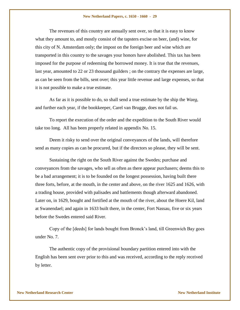The revenues of this country are annually sent over, so that it is easy to know what they amount to, and mostly consist of the tapsters excise on beer, (and) wine, for this city of N. Amsterdam only; the impost on the foreign beer and wine which are transported in this country to the savages your honors have abolished. This tax has been imposed for the purpose of redeeming the borrowed money. It is true that the revenues, last year, amounted to 22 or 23 thousand guilders ; on the contrary the expenses are large, as can be seen from the bills, sent over; this year little revenue and large expenses, so that it is not possible to make a true estimate.

As far as it is possible to do, so shall send a true estimate by the ship the *Waeg*, and further each year, if the bookkeeper, Carel van Brugge, does not fail us.

To report the execution of the order and the expedition to the South River would take too long. All has been properly related in appendix No. 15.

Deem it risky to send over the original conveyances of the lands, will therefore send as many copies as can be procured, but if the directors so please, they will be sent.

Sustaining the right on the South River against the Swedes; purchase and conveyances from the savages, who sell as often as there appear purchasers; deems this to be a bad arrangement; it is to be founded on the longest possession, having built there three forts, before, at the mouth, in the center and above, on the river 1625 and 1626, with a trading house, provided with palisades and battlements though afterward abandoned. Later on, in 1629, bought and fortified at the mouth of the river, about the Hoere Kil, land at Swanendael; and again in 1633 built there, in the center, Fort Nassau, five or six years before the Swedes entered said River.

Copy of the [deeds] for lands bought from Bronck"s land, till Greenwich Bay goes under No. 7.

The authentic copy of the provisional boundary partition entered into with the English has been sent over prior to this and was received, according to the reply received by letter.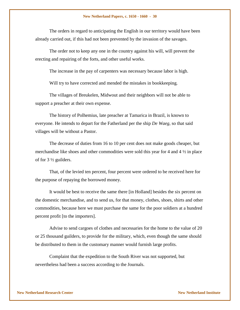The orders in regard to anticipating the English in our territory would have been already carried out, if this had not been prevented by the invasion of the savages.

The order not to keep any one in the country against his will, will prevent the erecting and repairing of the forts, and other useful works.

The increase in the pay of carpenters was necessary because labor is high.

Will try to have corrected and mended the mistakes in bookkeeping.

The villages of Breukelen, Midwout and their neighbors will not be able to support a preacher at their own expense.

The history of Polhemius, late preacher at Tamarica in Brazil, is known to everyone. He intends to depart for the Fatherland per the ship *De Waeg*, so that said villages will be without a Pastor.

The decrease of duties from 16 to 10 per cent does not make goods cheaper, but merchandise like shoes and other commodities were sold this year for 4 and  $4\frac{1}{2}$  in place of for  $3\frac{1}{2}$  guilders.

That, of the levied ten percent, four percent were ordered to be received here for the purpose of repaying the borrowed money.

It would be best to receive the same there [in Holland] besides the six percent on the domestic merchandise, and to send us, for that money, clothes, shoes, shirts and other commodities, because here we must purchase the same for the poor soldiers at a hundred percent profit [to the importers].

Advise to send cargoes of clothes and necessaries for the home to the value of 20 or 25 thousand guilders, to provide for the military, which, even though the same should be distributed to them in the customary manner would furnish large profits.

Complaint that the expedition to the South River was not supported, but nevertheless had been a success according to the Journals.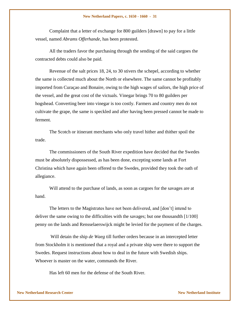Complaint that a letter of exchange for 800 guilders [drawn] to pay for a little vessel, named *Abrams Offerhande*, has been protested.

All the traders favor the purchasing through the sending of the said cargoes the contracted debts could also be paid.

Revenue of the salt prices 18, 24, to 30 stivers the schepel, according to whether the same is collected much about the North or elsewhere. The same cannot be profitably imported from Curaçao and Bonaire, owing to the high wages of sailors, the high price of the vessel, and the great cost of the victuals. Vinegar brings 70 to 80 guilders per hogshead. Converting beer into vinegar is too costly. Farmers and country men do not cultivate the grape, the same is speckled and after having been pressed cannot be made to ferment.

The Scotch or itinerant merchants who only travel hither and thither spoil the trade.

The commissioners of the South River expedition have decided that the Swedes must be absolutely dispossessed, as has been done, excepting some lands at Fort Christina which have again been offered to the Swedes, provided they took the oath of allegiance.

Will attend to the purchase of lands, as soon as cargoes for the savages are at hand.

The letters to the Magistrates have not been delivered, and [don"t] intend to deliver the same owing to the difficulties with the savages; but one thousandth [1/100] penny on the lands and Rensselaerswijck might be levied for the payment of the charges.

Will detain the ship *de Waeg* till further orders because in an intercepted letter from Stockholm it is mentioned that a royal and a private ship were there to support the Swedes. Request instructions about how to deal in the future with Swedish ships. Whoever is master on the water, commands the River.

Has left 60 men for the defense of the South River.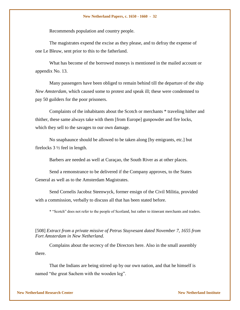Recommends population and country people.

The magistrates expend the excise as they please, and to defray the expense of one Le Bleuw, sent prior to this to the fatherland.

What has become of the borrowed moneys is mentioned in the mailed account or appendix No. 13.

Many passengers have been obliged to remain behind till the departure of the ship *New Amsterdam*, which caused some to protest and speak ill; these were condemned to pay 50 guilders for the poor prisoners.

Complaints of the inhabitants about the Scotch or merchants \* traveling hither and thither, these same always take with them [from Europe] gunpowder and fire locks, which they sell to the savages to our own damage.

No snaphaunce should be allowed to be taken along [by emigrants, etc.] but firelocks 3 ½ feel in length.

Barbers are needed as well at Curaçao, the South River as at other places.

Send a remonstrance to be delivered if the Company approves, to the States General as well as to the Amsterdam Magistrates.

Send Cornelis Jacobsz Steenwyck, former ensign of the Civil Militia, provided with a commission, verbally to discuss all that has been stated before.

\* "Scotch" does not refer to the people of Scotland, but rather to itinerant merchants and traders.

## [508] *Extract from a private missive of Petrus Stuyvesant dated November 7, 1655 from Fort Amsterdam in New Netherland.*

Complains about the secrecy of the Directors here. Also in the small assembly there.

That the Indians are being stirred up by our own nation, and that he himself is named "the great Sachem with the wooden leg".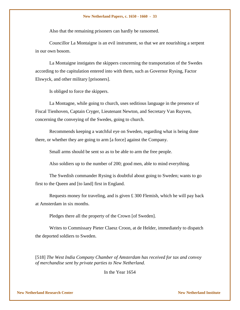Also that the remaining prisoners can hardly be ransomed.

Councillor La Montaigne is an evil instrument, so that we are nourishing a serpent in our own bosom.

La Montaigne instigates the skippers concerning the transportation of the Swedes according to the capitulation entered into with them, such as Governor Rysing, Factor Elswyck, and other military [prisoners].

Is obliged to force the skippers.

La Montagne, while going to church, uses seditious language in the presence of Fiscal Tienhoven, Captain Cryger, Lieutenant Newton, and Secretary Van Ruyven, concerning the conveying of the Swedes, going to church.

Recommends keeping a watchful eye on Sweden, regarding what is being done there, or whether they are going to arm [a force] against the Company.

Small arms should be sent so as to be able to arm the free people.

Also soldiers up to the number of 200; good men, able to mind everything.

The Swedish commander Rysing is doubtful about going to Sweden; wants to go first to the Queen and [to land] first in England.

Requests money for traveling, and is given £ 300 Flemish, which he will pay back at Amsterdam in six months.

Pledges there all the property of the Crown [of Sweden].

Writes to Commissary Pieter Claesz Croon, at de Helder, immediately to dispatch the deported soldiers to Sweden.

[518] *The West India Company Chamber of Amsterdam has received for tax and convoy of merchandise sent by private parties to New Netherland.* 

In the Year 1654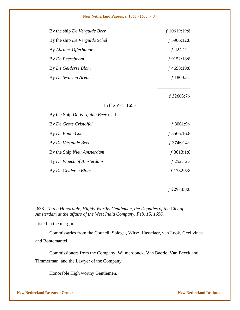| By the ship De Vergulde Beer      | $f$ 10619:19:8 |
|-----------------------------------|----------------|
| By the ship De Vergulde Schel     | $f$ 5906:12:8  |
| By Abrams Offerhande              | $f$ 424:12:-   |
| By De Peereboom                   | $f$ 9152:18:8  |
| By De Gelderse Blom               | $f$ 4698:19:8  |
| By De Swarten Arent               | $f$ 1800:5:-   |
|                                   |                |
|                                   | $f$ 32603:7:-  |
| In the Year 1655                  |                |
| By the Ship De Vergulde Beer read |                |
| By De Grote Cristoffel            | $f$ 8061:9:-   |
| By De Bonte Coe                   | $f$ 5566:16:8  |
| By De Vergulde Beer               | $f$ 3746:14:-  |
| By the Ship Nieu Amsterdam        | $f$ 3613:1:8   |
| By De Waech of Amsterdam          | $f$ 252:12:-   |
| By De Gelderse Blom               | $f$ 1732:5:8   |
|                                   |                |

ƒ 22973:8:8

[638] *To the Honorable, Highly Worthy Gentlemen, the Deputies of the City of Amsterdam at the affairs of the West India Company. Feb. 15, 1656.*

Listed in the margin –

Commissaries from the Council: Spiegel, Witsz, Hasselaer, van Look, Geel vinck and Bontemantel.

Commissioners from the Company: Wilmerdonck, Van Baerle, Van Beeck and Timmerman, and the Lawyer of the Company.

Honorable High worthy Gentlemen,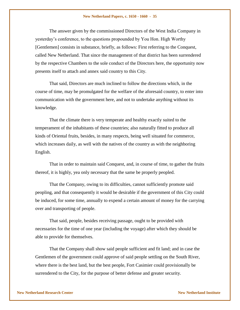The answer given by the commissioned Directors of the West India Company in yesterday"s conference, to the questions propounded by You Hon. High Worthy [Gentlemen] consists in substance, briefly, as follows: First referring to the Conquest, called New Netherland. That since the management of that district has been surrendered by the respective Chambers to the sole conduct of the Directors here, the opportunity now presents itself to attach and annex said country to this City.

That said, Directors are much inclined to follow the directions which, in the course of time, may be promulgated for the welfare of the aforesaid country, to enter into communication with the government here, and not to undertake anything without its knowledge.

That the climate there is very temperate and healthy exactly suited to the temperament of the inhabitants of these countries; also naturally fitted to produce all kinds of Oriental fruits, besides, in many respects, being well situated for commerce, which increases daily, as well with the natives of the country as with the neighboring English.

That in order to maintain said Conquest, and, in course of time, to gather the fruits thereof, it is highly, yea only necessary that the same be properly peopled.

That the Company, owing to its difficulties, cannot sufficiently promote said peopling, and that consequently it would be desirable if the government of this City could be induced, for some time, annually to expend a certain amount of money for the carrying over and transporting of people.

That said, people, besides receiving passage, ought to be provided with necessaries for the time of one year (including the voyage) after which they should be able to provide for themselves.

That the Company shall show said people sufficient and fit land; and in case the Gentlemen of the government could approve of said people settling on the South River, where there is the best land, but the best people, Fort Casimier could provisionally be surrendered to the City, for the purpose of better defense and greater security.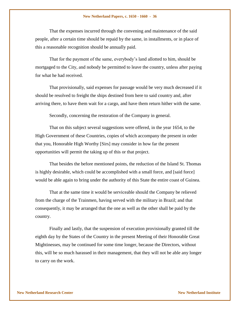That the expenses incurred through the convening and maintenance of the said people, after a certain time should be repaid by the same, in installments, or in place of this a reasonable recognition should be annually paid.

That for the payment of the same, everybody"s land allotted to him, should be mortgaged to the City, and nobody be permitted to leave the country, unless after paying for what he had received.

That provisionally, said expenses for passage would be very much decreased if it should be resolved to freight the ships destined from here to said country and, after arriving there, to have them wait for a cargo, and have them return hither with the same.

Secondly, concerning the restoration of the Company in general.

That on this subject several suggestions were offered, in the year 1654, to the High Government of these Countries, copies of which accompany the present in order that you, Honorable High Worthy [Sirs] may consider in how far the present opportunities will permit the taking up of this or that project.

That besides the before mentioned points, the reduction of the Island St. Thomas is highly desirable, which could be accomplished with a small force, and [said force] would be able again to bring under the authority of this State the entire coast of Guinea.

That at the same time it would be serviceable should the Company be relieved from the charge of the Trainmen, having served with the military in Brazil; and that consequently, it may be arranged that the one as well as the other shall be paid by the country.

Finally and lastly, that the suspension of execution provisionally granted till the eighth day by the States of the Country in the present Meeting of their Honorable Great Mightinesses, may be continued for some time longer, because the Directors, without this, will be so much harassed in their management, that they will not be able any longer to carry on the work.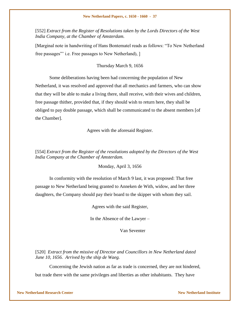[552] *Extract from the Register of Resolutions taken by the Lords Directors of the West India Company, at the Chamber of Amsterdam.*

[Marginal note in handwriting of Hans Bontematel reads as follows: "To New Netherland free passages" i.e. Free passages to New Netherland), 1

## Thursday March 9, 1656

Some deliberations having been had concerning the population of New Netherland, it was resolved and approved that all mechanics and farmers, who can show that they will be able to make a living there, shall receive, with their wives and children, free passage thither, provided that, if they should wish to return here, they shall be obliged to pay double passage, which shall be communicated to the absent members [of the Chamber].

Agrees with the aforesaid Register.

[554] *Extract from the Register of the resolutions adopted by the Directors of the West India Company at the Chamber of Amsterdam.*

Monday, April 3, 1656

In conformity with the resolution of March 9 last, it was proposed: That free passage to New Netherland being granted to Anneken de With, widow, and her three daughters, the Company should pay their board to the skipper with whom they sail.

Agrees with the said Register,

In the Absence of the Lawyer –

Van Seventer

[520] *Extract from the missive of Director and Councillors in New Netherland dated June 10, 1656. Arrived by the ship de Waeg.*

Concerning the Jewish nation as far as trade is concerned, they are not hindered, but trade there with the same privileges and liberties as other inhabitants. They have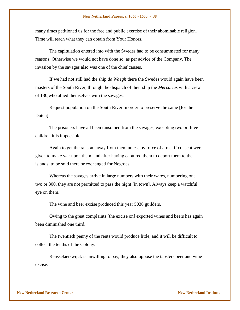many times petitioned us for the free and public exercise of their abominable religion. Time will teach what they can obtain from Your Honors.

The capitulation entered into with the Swedes had to be consummated for many reasons. Otherwise we would not have done so, as per advice of the Company. The invasion by the savages also was one of the chief causes.

If we had not still had the ship *de Waegh* there the Swedes would again have been masters of the South River, through the dispatch of their ship the *Mercurius* with a crew of 130,who allied themselves with the savages.

Request population on the South River in order to preserve the same [for the Dutch].

The prisoners have all been ransomed from the savages, excepting two or three children it is impossible.

Again to get the ransom away from them unless by force of arms, if consent were given to make war upon them, and after having captured them to deport them to the islands, to be sold there or exchanged for Negroes.

Whereas the savages arrive in large numbers with their wares, numbering one, two or 300, they are not permitted to pass the night [in town]. Always keep a watchful eye on them.

The wine and beer excise produced this year 5030 guilders.

Owing to the great complaints [the excise on] exported wines and beers has again been diminished one third.

The twentieth penny of the rents would produce little, and it will be difficult to collect the tenths of the Colony.

Rensselaerswijck is unwilling to pay, they also oppose the tapsters beer and wine excise.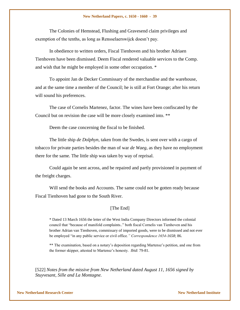The Colonies of Hemstead, Flushing and Gravesend claim privileges and exemption of the tenths, as long as Rensselaerswijck doesn"t pay.

In obedience to written orders, Fiscal Tienhoven and his brother Adriaen Tienhoven have been dismissed. Deem Fiscal rendered valuable services to the Comp. and wish that he might be employed in some other occupation. \*

To appoint Jan de Decker Commissary of the merchandise and the warehouse, and at the same time a member of the Council; he is still at Fort Orange; after his return will sound his preferences.

The case of Cornelis Martenez, factor. The wines have been confiscated by the Council but on revision the case will be more closely examined into. \*\*

Deem the case concerning the fiscal to be finished.

The little ship *de Dolphyn*, taken from the Swedes, is sent over with a cargo of tobacco for private parties besides the man of war *de Waeg*, as they have no employment there for the same. The little ship was taken by way of reprisal.

Could again be sent across, and be repaired and partly provisioned in payment of the freight charges.

Will send the books and Accounts. The same could not be gotten ready because Fiscal Tienhoven had gone to the South River.

## [The End]

\* Dated 13 March 1656 the letter of the West India Company Directors informed the colonial council that "because of manifold complaints.." both fiscal Cornelis van Tienhoven and his brother Adrian van Tienhoven, commissary of imported goods, were to be dismissed and not ever be employed "in any public service or civil office*." Correspondence 1654-1658*; 86.

\*\* The examination, based on a notary's deposition regarding Martensz's petition, and one from the former skipper, attested to Martensz"s honesty. *Ibid*: 79-81.

[522] *Notes from the missive from New Netherland dated August 11, 1656 signed by Stuyvesant, Sille and La Montagne.*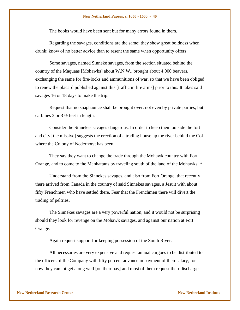The books would have been sent but for many errors found in them.

Regarding the savages, conditions are the same; they show great boldness when drunk; know of no better advice than to resent the same when opportunity offers.

Some savages, named Sinneke savages, from the section situated behind the country of the Maquaas [Mohawks] about W.N.W., brought about 4,000 beavers, exchanging the same for fire-locks and ammunitions of war, so that we have been obliged to renew the placard published against this [traffic in fire arms] prior to this. It takes said savages 16 or 18 days to make the trip.

Request that no snaphaunce shall be brought over, not even by private parties, but carbines 3 or  $3\frac{1}{2}$  feet in length.

Consider the Sinnekes savages dangerous. In order to keep them outside the fort and city [the missive] suggests the erection of a trading house up the river behind the Col where the Colony of Nederhorst has been.

They say they want to change the trade through the Mohawk country with Fort Orange, and to come to the Manhattans by traveling south of the land of the Mohawks. \*

Understand from the Sinnekes savages, and also from Fort Orange, that recently there arrived from Canada in the country of said Sinnekes savages, a Jesuit with about fifty Frenchmen who have settled there. Fear that the Frenchmen there will divert the trading of peltries.

The Sinnekes savages are a very powerful nation, and it would not be surprising should they look for revenge on the Mohawk savages, and against our nation at Fort Orange.

Again request support for keeping possession of the South River.

All necessaries are very expensive and request annual cargoes to be distributed to the officers of the Company with fifty percent advance in payment of their salary; for now they cannot get along well [on their pay] and most of them request their discharge.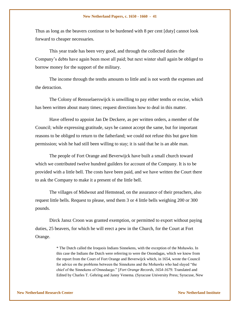Thus as long as the beavers continue to be burdened with 8 per cent [duty] cannot look forward to cheaper necessaries.

This year trade has been very good, and through the collected duties the Company"s debts have again been most all paid; but next winter shall again be obliged to borrow money for the support of the military.

The income through the tenths amounts to little and is not worth the expenses and the detraction.

The Colony of Rensselaerswijck is unwilling to pay either tenths or excise, which has been written about many times; request directions how to deal in this matter.

Have offered to appoint Jan De Deckere, as per written orders, a member of the Council; while expressing gratitude, says he cannot accept the same, but for important reasons to be obliged to return to the fatherland; we could not refuse this but gave him permission; wish he had still been willing to stay; it is said that he is an able man.

The people of Fort Orange and Beverwijck have built a small church toward which we contributed twelve hundred guilders for account of the Company. It is to be provided with a little bell. The costs have been paid, and we have written the Court there to ask the Company to make it a present of the little bell.

The villages of Midwout and Hemstead, on the assurance of their preachers, also request little bells. Request to please, send them 3 or 4 little bells weighing 200 or 300 pounds.

Dirck Jansz Croon was granted exemption, or permitted to export without paying duties, 25 beavers, for which he will erect a pew in the Church, for the Court at Fort Orange.

> \* The Dutch called the Iroquois Indians Sinnekens, with the exception of the Mohawks. In this case the Indians the Dutch were referring to were the Onondagas, which we know from the report from the Court of Fort Orange and Beverwijck which, in 1654, wrote the Council for advice on the problems between the Sinnekens and the Mohawks who had slayed "the chief of the Sinnekens of Onnedaego." [*Fort Orange Records, 1654-1679*. Translated and Edited by Charles T. Gehring and Janny Venema. (Syracuse University Press; Syracuse, New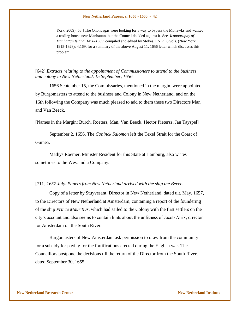York, 2009); 53.] The Onondagas were looking for a way to bypass the Mohawks and wanted a trading house near Manhattan, but the Council decided against it. See *Iconography of Manhattan Island, 1498-1909*, compiled and edited by Stokes, I.N.P., 6 vols. (New York, 1915-1928); 4:169, for a summary of the above August 11, 1656 letter which discusses this problem.

[642] *Extracts relating to the appointment of Commissioners to attend to the business and colony in New Netherland, 15 September, 1656.*

1656 September 15, the Commissaries, mentioned in the margin, were appointed by Burgomasters to attend to the business and Colony in New Netherland, and on the 16th following the Company was much pleased to add to them these two Directors Man and Van Beeck.

[Names in the Margin: Burch, Roeters, Man, Van Beeck, Hector Pietersz, Jan Tayspel]

September 2, 1656. The *Coninck Salomon* left the Texel Strait for the Coast of Guinea.

Mathys Roemer, Minister Resident for this State at Hamburg, also writes sometimes to the West India Company.

### [711] *1657 July. Papers from New Netherland arrived with the ship the Bever.*

Copy of a letter by Stuyvesant, Director in New Netherland, dated ult. May, 1657, to the Directors of New Netherland at Amsterdam, containing a report of the foundering of the ship *Prince Mauritius*, which had sailed to the Colony with the first settlers on the city"s account and also seems to contain hints about the unfitness of Jacob Alrix, director for Amsterdam on the South River.

Burgomasters of New Amsterdam ask permission to draw from the community for a subsidy for paying for the fortifications erected during the English war. The Councillors postpone the decisions till the return of the Director from the South River, dated September 30, 1655.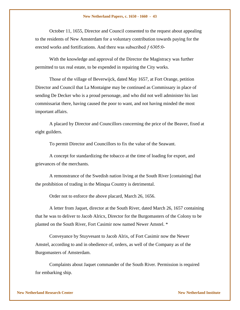October 11, 1655, Director and Council consented to the request about appealing to the residents of New Amsterdam for a voluntary contribution towards paying for the erected works and fortifications. And there was subscribed  $f$  6305:0-

With the knowledge and approval of the Director the Magistracy was further permitted to tax real estate, to be expended in repairing the City works.

Those of the village of Beverwijck, dated May 1657, at Fort Orange, petition Director and Council that La Montaigne may be continued as Commissary in place of sending De Decker who is a proud personage, and who did not well administer his last commissariat there, having caused the poor to want, and not having minded the most important affairs.

A placard by Director and Councillors concerning the price of the Beaver, fixed at eight guilders.

To permit Director and Councillors to fix the value of the Seawant.

A concept for standardizing the tobacco at the time of loading for export, and grievances of the merchants.

A remonstrance of the Swedish nation living at the South River [containing] that the prohibition of trading in the Minqua Country is detrimental.

Order not to enforce the above placard, March 26, 1656.

A letter from Jaquet, director at the South River, dated March 26, 1657 containing that he was to deliver to Jacob Alricx, Director for the Burgomasters of the Colony to be planted on the South River, Fort Casimir now named Newer Amstel. \*

Conveyance by Stuyvesant to Jacob Alrix, of Fort Casimir now the Newer Amstel, according to and in obedience of, orders, as well of the Company as of the Burgomasters of Amsterdam.

Complaints about Jaquet commander of the South River. Permission is required for embarking ship.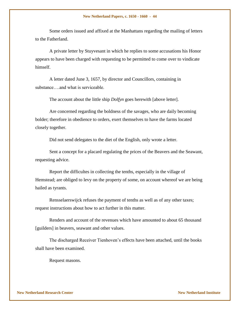Some orders issued and affixed at the Manhattans regarding the mailing of letters to the Fatherland.

A private letter by Stuyvesant in which he replies to some accusations his Honor appears to have been charged with requesting to be permitted to come over to vindicate himself.

A letter dated June 3, 1657, by director and Councillors, containing in substance….and what is serviceable.

The account about the little ship *Dolfyn* goes herewith [above letter].

Are concerned regarding the boldness of the savages, who are daily becoming bolder; therefore in obedience to orders, exert themselves to have the farms located closely together.

Did not send delegates to the diet of the English, only wrote a letter.

Sent a concept for a placard regulating the prices of the Beavers and the Seawant, requesting advice.

Report the difficultes in collecting the tenths, especially in the village of Hemstead; are obliged to levy on the property of some, on account whereof we are being hailed as tyrants.

Rensselaerswijck refuses the payment of tenths as well as of any other taxes; request instructions about how to act further in this matter.

Renders and account of the revenues which have amounted to about 65 thousand [guilders] in beavers, seawant and other values.

The discharged Receiver Tienhoven"s effects have been attached, until the books shall have been examined.

Request masons.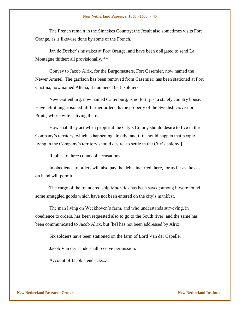The French remain in the Sinnekes Country; the Jesuit also sometimes visits Fort Orange, as is likewise done by some of the French.

Jan de Decker"s mistakes at Fort Orange, and have been obligated to send La Montagne thither; all provisionally. \*\*

Convey to Jacob Alrix, for the Burgomasters, Fort Casemier, now named the Newer Amstel. The garrison has been removed from Casemier; has been stationed at Fort Cristina, now named Altena; it numbers 16-18 soldiers.

New Gottenburg, now named Cattenburg; is no fort; just a stately country house. Have left it ungarrisoned till further orders. Is the property of the Swedish Governor Prints, whose wife is living there.

How shall they act when people at the City"s Colony should desire to live in the Company"s territory, which is happening already; and if it should happen that people living in the Company's territory should desire [to settle in the City's colony.]

Replies to three counts of accusations.

In obedience to orders will also pay the debts incurred there, for as far as the cash on hand will permit.

The cargo of the foundered ship *Mouritius* has been saved; among it were found some smuggled goods which have not been entered on the city"s manifest.

The man living on Weckhoven"s farm, and who understands surveying, in obedience to orders, has been requested also to go to the South river; and the same has been communicated to Jacob Alrix, but [he] has not been addressed by Alrix.

Six soldiers have been stationed on the farm of Lord Van der Capelle.

Jacob Van der Linde shall receive permission.

Account of Jacob Hendricksz.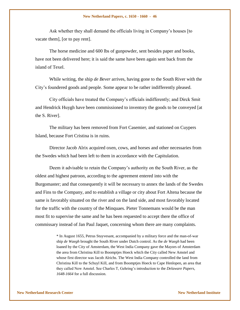Ask whether they shall demand the officials living in Company"s houses [to vacate them], [or to pay rent].

The horse medicine and 600 lbs of gunpowder, sent besides paper and books, have not been delivered here; it is said the same have been again sent back from the island of Texel.

While writing, the ship *de Bever* arrives, having gone to the South River with the City"s foundered goods and people. Some appear to be rather indifferently pleased.

City officials have treated the Company"s officials indifferently; and Dirck Smit and Hendrick Huygh have been commissioned to inventory the goods to be conveyed [at the S. River].

The military has been removed from Fort Casemier, and stationed on Cuypers Island, because Fort Cristina is in ruins.

Director Jacob Alrix acquired oxen, cows, and horses and other necessaries from the Swedes which had been left to them in accordance with the Capitulation.

Deem it advisable to retain the Company"s authority on the South River, as the oldest and highest patroon, according to the agreement entered into with the Burgomaster; and that consequently it will be necessary to annex the lands of the Swedes and Fins to the Company, and to establish a village or city about Fort Altena because the same is favorably situated on the river and on the land side, and most favorably located for the traffic with the country of the Minquaes. Pieter Tonnemans would be the man most fit to supervise the same and he has been requested to accept there the office of commissary instead of Jan Paul Jaquet, concerning whom there are many complaints.

> \* In August 1655, Petrus Stuyvesant, accompanied by a military force and the man-of-war ship *de Waegh* brought the South River under Dutch control. As the *de Waegh* had been loaned by the City of Amsterdam, the West India Company gave the Mayors of Amsterdam the area from Christina Kill to Boomptjes Hoeck which the City called New Amstel and whose first director was Jacob Alrichs. The West India Company controlled the land from Christina Kill to the Schuyl Kill, and from Boomptjes Hoeck to Cape Henlopen, an area that they called New Amstel. See Charles T, Gehring"s introduction to the *Delaware Papers, 1648-1664* for a full discussion.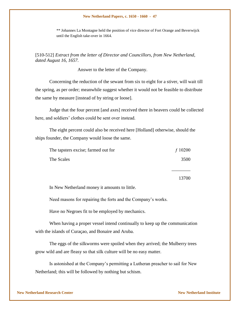\*\* Johannes La Montagne held the position of vice director of Fort Orange and Beverwijck until the English take-over in 1664.

# [510-512] *Extract from the letter of Director and Councillors, from New Netherland, dated August 16, 1657.*

Answer to the letter of the Company.

Concerning the reduction of the sewant from six to eight for a stiver, will wait till the spring, as per order; meanwhile suggest whether it would not be feasible to distribute the same by measure [instead of by string or loose].

Judge that the four percent [and axes] received there in beavers could be collected here, and soldiers' clothes could be sent over instead.

The eight percent could also be received here [Holland] otherwise, should the ships founder, the Company would loose the same.

| The tapsters excise; farmed out for | f10200 |
|-------------------------------------|--------|
| The Scales                          | 3500   |

13700

 $\overline{\phantom{a}}$  . The set of the set of the set of the set of the set of the set of the set of the set of the set of the set of the set of the set of the set of the set of the set of the set of the set of the set of the set o

In New Netherland money it amounts to little.

Need masons for repairing the forts and the Company's works.

Have no Negroes fit to be employed by mechanics.

When having a proper vessel intend continually to keep up the communication with the islands of Curaçao, and Bonaire and Aruba.

The eggs of the silkworms were spoiled when they arrived; the Mulberry trees grow wild and are fleasy so that silk culture will be no easy matter.

Is astonished at the Company"s permitting a Lutheran preacher to sail for New Netherland; this will be followed by nothing but schism.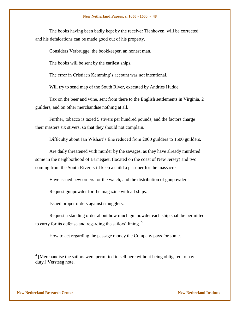The books having been badly kept by the receiver Tienhoven, will be corrected, and his defalcations can be made good out of his property.

Considers Verbrugge, the bookkeeper, an honest man.

The books will be sent by the earliest ships.

The error in Cristiaen Kemming's account was not intentional.

Will try to send map of the South River, executed by Andries Hudde.

Tax on the beer and wine, sent from there to the English settlements in Virginia, 2 guilders, and on other merchandise nothing at all.

Further, tobacco is taxed 5 stivers per hundred pounds, and the factors charge their masters six stivers, so that they should not complain.

Difficulty about Jan Wishart"s fine reduced from 2000 guilders to 1500 guilders.

Are daily threatened with murder by the savages, as they have already murdered some in the neighborhood of Barnegaet, (located on the coast of New Jersey) and two coming from the South River; still keep a child a prisoner for the massacre.

Have issued new orders for the watch, and the distribution of gunpowder.

Request gunpowder for the magazine with all ships.

Issued proper orders against smugglers.

Request a standing order about how much gunpowder each ship shall be permitted to carry for its defense and regarding the sailors' lining.  $3$ 

How to act regarding the passage money the Company pays for some.

l

 $3$  [Merchandise the sailors were permitted to sell here without being obligated to pay duty.] Versteeg note.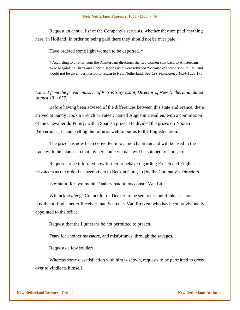Request an annual list of the Company"s servants, whether they are paid anything here [in Holland] in order on being paid there they should not be over paid.

Have ordered some light women to be deported. \*

\* According to a letter from the Amsterdam directors, the two women sent back to Amsterdam were Magdalena Dircx and Geertie Jacobs who were returned "because of their dissolute life" and would not be given permission to return to New Netherland. See *Correspondence 1654-1658*;175

# *Extract from the private missive of Petrus Stuyvesant, Director of New Netherland, dated August 13, 1657.*

Before having been advised of the differences between this state and France, there arrived at Sandy Hook a French privateer, named Augustin Beaulieu, with a commission of the Chevalier du Pointy, with a Spanish prize. He divided the prizes on Nooten [Governor"s] Island, selling the same as well to our as to the English nation.

The prize has now been converted into a merchantman and will be used in the trade with the Islands so that, by her, some victuals will be shipped to Curaçao.

Requests to be informed how further to behave regarding French and English privateers as the order has been given to Beck at Curaçao [by the Company"s Directors].

Is grateful for two months' salary paid to his cousin Van Lit.

Will acknowledge Councillor de Decker, to be sent over, but thinks it is not possible to find a better Receiver than Secretary Van Ruyven, who has been provisionally appointed to the office.

Request that the Lutherans be not permitted to preach.

Fears for another massacre, and misfortunes, through the savages.

Requests a few soldiers.

Whereas some dissatisfaction with him is shown, requests to be permitted to cross over to vindicate himself.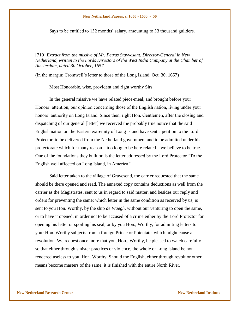Says to be entitled to 132 months' salary, amounting to 33 thousand guilders.

[710] *Extract from the missive of Mr. Petrus Stuyvesant, Director-General in New Netherland, written to the Lords Directors of the West India Company at the Chamber of Amsterdam, dated 30 October, 1657.*

(In the margin: Cromwell"s letter to those of the Long Island, Oct. 30, 1657)

Most Honorable, wise, provident and right worthy Sirs.

In the general missive we have related piece-meal, and brought before your Honors" attention, our opinion concerning those of the English nation, living under your honors' authority on Long Island. Since then, right Hon. Gentlemen, after the closing and dispatching of our general [letter] we received the probably true notice that the said English nation on the Eastern extremity of Long Island have sent a petition to the Lord Protector, to be delivered from the Netherland government and to be admitted under his protectorate which for many reason – too long to be here related – we believe to be true. One of the foundations they built on is the letter addressed by the Lord Protector "To the English well affected on Long Island, in America."

Said letter taken to the village of Gravesend, the carrier requested that the same should be there opened and read. The annexed copy contains deductions as well from the carrier as the Magistrates, sent to us in regard to said matter, and besides our reply and orders for preventing the same; which letter in the same condition as received by us, is sent to you Hon. Worthy, by the ship *de Waegh*, without our venturing to open the same, or to have it opened, in order not to be accused of a crime either by the Lord Protector for opening his letter or spoiling his seal, or by you Hon., Worthy, for admitting letters to your Hon. Worthy subjects from a foreign Prince or Potentate, which might cause a revolution. We request once more that you, Hon., Worthy, be pleased to watch carefully so that either through sinister practices or violence, the whole of Long Island be not rendered useless to you, Hon. Worthy. Should the English, either through revolt or other means become masters of the same, it is finished with the entire North River.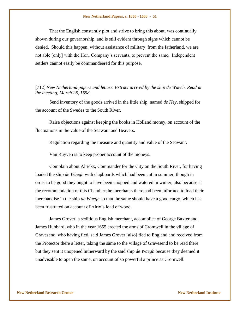That the English constantly plot and strive to bring this about, was continually shown during our governorship, and is still evident through signs which cannot be denied. Should this happen, without assistance of military from the fatherland, we are not able [only] with the Hon. Company"s servants, to prevent the same. Independent settlers cannot easily be commandeered for this purpose.

## [712] *New Netherland papers and letters. Extract arrived by the ship de Waech. Read at the meeting, March 26, 1658.*

Send inventory of the goods arrived in the little ship, named *de Hey*, shipped for the account of the Swedes to the South River.

Raise objections against keeping the books in Holland money, on account of the fluctuations in the value of the Seawant and Beavers.

Regulation regarding the measure and quantity and value of the Seawant.

Van Ruyven is to keep proper account of the moneys.

Complain about Alrickx, Commander for the City on the South River, for having loaded the ship *de Waegh* with clapboards which had been cut in summer; though in order to be good they ought to have been chopped and watered in winter, also because at the recommendation of this Chamber the merchants there had been informed to load their merchandise in the ship *de Waegh* so that the same should have a good cargo, which has been frustrated on account of Alrix's load of wood.

James Grover, a seditious English merchant, accomplice of George Baxter and James Hubbard, who in the year 1655 erected the arms of Cromwell in the village of Gravesend, who having fled, said James Grover [also] fled to England and received from the Protector there a letter, taking the same to the village of Gravesend to be read there but they sent it unopened hitherward by the said ship *de Waegh* because they deemed it unadvisable to open the same, on account of so powerful a prince as Cromwell.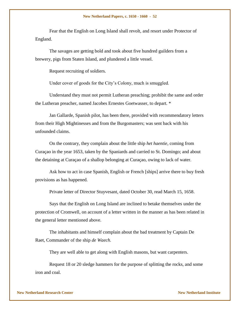Fear that the English on Long Island shall revolt, and resort under Protector of England.

The savages are getting bold and took about five hundred guilders from a brewery, pigs from Staten Island, and plundered a little vessel.

Request recruiting of soldiers.

Under cover of goods for the City"s Colony, much is smuggled.

Understand they must not permit Lutheran preaching; prohibit the same and order the Lutheran preacher, named Jacobes Ernestes Goetwasser, to depart. \*

Jan Gallarde, Spanish pilot, has been there, provided with recommendatory letters from their High Mightinesses and from the Burgomasters; was sent back with his unfounded claims.

On the contrary, they complain about the little ship *het haentie*, coming from Curaçao in the year 1653, taken by the Spaniards and carried to St. Domingo; and about the detaining at Curaçao of a shallop belonging at Curaçao, owing to lack of water.

Ask how to act in case Spanish, English or French [ships] arrive there to buy fresh provisions as has happened.

Private letter of Director Stuyvesant, dated October 30, read March 15, 1658.

Says that the English on Long Island are inclined to betake themselves under the protection of Cromwell, on account of a letter written in the manner as has been related in the general letter mentioned above.

The inhabitants and himself complain about the bad treatment by Captain De Raet, Commander of the ship *de Waech*.

They are well able to get along with English masons, but want carpenters.

Request 18 or 20 sledge hammers for the purpose of splitting the rocks, and some iron and coal.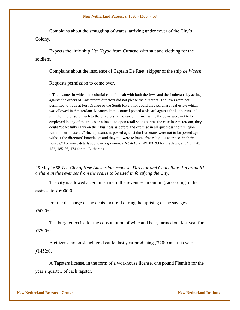Complains about the smuggling of wares, arriving under cover of the City"s Colony.

Expects the little ship *Het Heytie* from Curaçao with salt and clothing for the soldiers.

Complains about the insolence of Captain De Raet, skipper of the ship *de Waech*.

Requests permission to come over.

\* The manner in which the colonial council dealt with both the Jews and the Lutherans by acting against the orders of Amsterdam directors did not please the directors. The Jews were not permitted to trade at Fort Orange or the South River, nor could they purchase real estate which was allowed in Amsterdam. Meanwhile the council posted a placard against the Lutherans and sent them to prison, much to the directors' annoyance. In fine, while the Jews were not to be employed in any of the trades or allowed to open retail shops as was the case in Amsterdam, they could "peacefully carry on their business as before and exercise in all quietness their religion within their houses..." Such placards as posted against the Lutherans were not to be posted again without the directors' knowledge and they too were to have "free religious exercises in their houses." For more details see *Correspondence 1654-1658*; 49, 83, 93 for the Jews, and 93, 128, 182, 185-86, 174 for the Lutherans.

25 May 1658 *The City of New Amsterdam requests Director and Councillors [to grant it] a share in the revenues from the scales to be used in fortifying the City.*

The city is allowed a certain share of the revenues amounting, according to the assizes, to  $f\,6000.0$ 

For the discharge of the debts incurred during the uprising of the savages.

ƒ6000:0

The burgher excise for the consumption of wine and beer, farmed out last year for ƒ3700:0

A citizens tax on slaughtered cattle, last year producing ƒ720:0 and this year  $f1452:0.$ 

A Tapsters license, in the form of a workhouse license, one pound Flemish for the year"s quarter, of each tapster.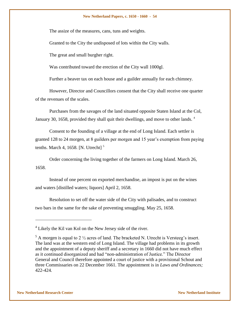The assize of the measures, cans, tuns and weights.

Granted to the City the undisposed of lots within the City walls.

The great and small burgher right.

Was contributed toward the erection of the City wall 1000gl.

Further a beaver tax on each house and a guilder annually for each chimney.

However, Director and Councillors consent that the City shall receive one quarter of the revenues of the scales.

Purchases from the savages of the land situated opposite Staten Island at the Col, January 30, 1658, provided they shall quit their dwellings, and move to other lands. <sup>4</sup>

Consent to the founding of a village at the end of Long Island. Each settler is granted 128 to 24 morgen, at 8 guilders per morgen and 15 year's exemption from paying tenths. March 4, 1658. [N. Utrecht] $<sup>5</sup>$ </sup>

Order concerning the living together of the farmers on Long Island. March 26, 1658.

Instead of one percent on exported merchandise, an impost is put on the wines and waters [distilled waters; liquors] April 2, 1658.

Resolution to set off the water side of the City with palisades, and to construct two bars in the same for the sake of preventing smuggling. May 25, 1658.

l

 $4$  Likely the Kil van Kol on the New Jersey side of the river.

 $5$  A morgen is equal to 2  $\frac{1}{2}$  acres of land. The bracketed N. Utrecht is Versteeg's insert. The land was at the western end of Long Island. The village had problems in its growth and the appointment of a deputy sheriff and a secretary in 1660 did not have much effect as it continued disorganized and had "non-administration of Justice." The Director General and Council therefore appointed a court of justice with a provisional Schout and three Commissaries on 22 December 1661. The appointment is in *Laws and Ordinances;*  422-424*.*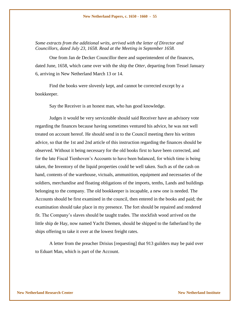*Some extracts from the additional writs, arrived with the letter of Director and Councillors, dated July 23, 1658. Read at the Meeting in September 1658.*

One from Jan de Decker Councillor there and superintendent of the finances, dated June, 1658, which came over with the ship the *Otter*, departing from Tessel January 6, arriving in New Netherland March 13 or 14.

Find the books were slovenly kept, and cannot be corrected except by a bookkeeper.

Say the Receiver is an honest man, who has good knowledge.

Judges it would be very serviceable should said Receiver have an advisory vote regarding the finances because having sometimes ventured his advice, he was not well treated on account hereof. He should send in to the Council meeting there his written advice, so that the 1st and 2nd article of this instruction regarding the finances should be observed. Without it being necessary for the old books first to have been corrected, and for the late Fiscal Tienhoven's Accounts to have been balanced, for which time is being taken, the Inventory of the liquid properties could be well taken. Such as of the cash on hand, contents of the warehouse, victuals, ammunition, equipment and necessaries of the soldiers, merchandise and floating obligations of the imports, tenths, Lands and buildings belonging to the company. The old bookkeeper is incapable, a new one is needed. The Accounts should be first examined in the council, then entered in the books and paid; the examination should take place in my presence. The fort should be repaired and rendered fit. The Company"s slaves should be taught trades. The stockfish wood arrived on the little ship de Hay, now named Yacht Diemen, should be shipped to the fatherland by the ships offering to take it over at the lowest freight rates.

A letter from the preacher Drisius [requesting] that 913 guilders may be paid over to Eduart Man, which is part of the Account.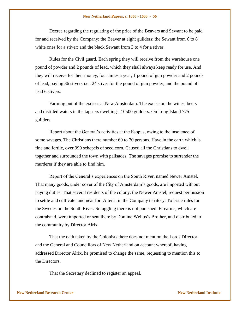Decree regarding the regulating of the price of the Beavers and Sewant to be paid for and received by the Company; the Beaver at eight guilders; the Sewant from 6 to 8 white ones for a stiver; and the black Sewant from 3 to 4 for a stiver.

Rules for the Civil guard. Each spring they will receive from the warehouse one pound of powder and 2 pounds of lead, which they shall always keep ready for use. And they will receive for their money, four times a year, 1 pound of gun powder and 2 pounds of lead, paying 36 stivers i.e., 24 stiver for the pound of gun powder, and the pound of lead 6 stivers.

Farming out of the excises at New Amsterdam. The excise on the wines, beers and distilled waters in the tapsters dwellings, 10500 guilders. On Long Island 775 guilders.

Report about the General"s activities at the Esopus, owing to the insolence of some savages. The Christians there number 60 to 70 persons. Have in the earth which is fine and fertile, over 990 schepels of seed corn. Caused all the Christians to dwell together and surrounded the town with palisades. The savages promise to surrender the murderer if they are able to find him.

Report of the General"s experiences on the South River, named Newer Amstel. That many goods, under cover of the City of Amsterdam"s goods, are imported without paying duties. That several residents of the colony, the Newer Amstel, request permission to settle and cultivate land near fort Altena, in the Company territory. To issue rules for the Swedes on the South River. Smuggling there is not punished. Firearms, which are contraband, were imported or sent there by Domine Welius"s Brother, and distributed to the community by Director Alrix.

That the oath taken by the Colonists there does not mention the Lords Director and the General and Councillors of New Netherland on account whereof, having addressed Director Alrix, he promised to change the same, requesting to mention this to the Directors.

That the Secretary declined to register an appeal.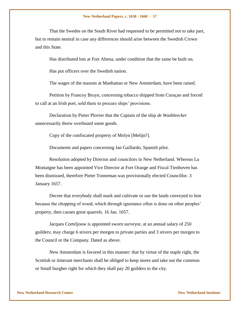That the Swedes on the South River had requested to be permitted not to take part, but to remain neutral in case any differences should arise between the Swedish Crown and this State.

Has distributed lots at Fort Altena, under condition that the same be built on.

Has put officers over the Swedish nation.

The wages of the masons at Manhattan or New Amsterdam, have been raised.

Petition by Francoy Bruyn, concerning tobacco shipped from Curaçao and forced to call at an Irish port, sold there to procure ships' provisions.

Declaration by Pieter Plovier that the Captain of the ship *de Wasbleecker* unnecessarily threw overboard some goods.

Copy of the confiscated property of Molyn [Melijn?].

Documents and papers concerning Jan Gaillardo, Spanish pilot.

Resolution adopted by Director and councilors in New Netherland. Whereas La Montaigne has been appointed Vice Director at Fort Orange and Fiscal Tienhoven has been dismissed, therefore Pieter Tonneman was provisionally elected Councillor. 3 January 1657.

Decree that everybody shall mark and cultivate or use the lands conveyed to him because the chopping of wood, which through ignorance often is done on other peoples" property, then causes great quarrels. 16 Jan. 1657.

Jacques Corteljouw is appointed sworn surveyor, at an annual salary of 250 guilders; may charge 6 stivers per morgen to private parties and 3 stivers per morgen to the Council or the Company. Dated as above.

New Amsterdam is favored in this manner: that by virtue of the staple right, the Scottish or itinerant merchants shall be obliged to keep stores and take out the common or Small burgher right for which they shall pay 20 guilders to the city.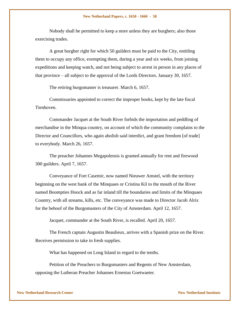Nobody shall be permitted to keep a store unless they are burghers; also those exercising trades.

A great burgher right for which 50 guilders must be paid to the City, entitling them to occupy any office, exempting them, during a year and six weeks, from joining expeditions and keeping watch, and not being subject to arrest in person in any places of that province – all subject to the approval of the Lords Directors. January 30, 1657.

The retiring burgomaster is treasurer. March 6, 1657.

Commissaries appointed to correct the improper books, kept by the late fiscal Tienhoven.

Commander Jacquet at the South River forbids the importation and peddling of merchandise in the Minqua country, on account of which the community complains to the Director and Councillors, who again abolish said interdict, and grant freedom [of trade] to everybody. March 26, 1657.

The preacher Johannes Megapolensis is granted annually for rent and firewood 300 guilders. April 7, 1657.

Conveyance of Fort Casemir, now named Nieuwer Amstel, with the territory beginning on the west bank of the Minquaes or Cristina Kil to the mouth of the River named Boompties Hoock and as far inland till the boundaries and limits of the Minquaes Country, with all streams, kills, etc. The conveyance was made to Director Jacob Alrix for the behoof of the Burgomasters of the City of Amsterdam. April 12, 1657.

Jacquet, commander at the South River, is recalled. April 20, 1657.

The French captain Augustin Beaulieux, arrives with a Spanish prize on the River. Receives permission to take in fresh supplies.

What has happened on Long Island in regard to the tenths.

Petition of the Preachers to Burgomasters and Regents of New Amsterdam, opposing the Lutheran Preacher Johannes Ernestus Goetwaeter.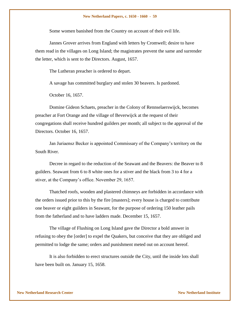Some women banished from the Country on account of their evil life.

Jannes Grover arrives from England with letters by Cromwell; desire to have them read in the villages on Long Island; the magistrates prevent the same and surrender the letter, which is sent to the Directors. August, 1657.

The Lutheran preacher is ordered to depart.

A savage has committed burglary and stolen 30 beavers. Is pardoned.

October 16, 1657.

Domine Gideon Schaets, preacher in the Colony of Rennselaerswijck, becomes preacher at Fort Orange and the village of Beverwijck at the request of their congregations shall receive hundred guilders per month; all subject to the approval of the Directors. October 16, 1657.

Jan Juriaensz Becker is appointed Commissary of the Company"s territory on the South River.

Decree in regard to the reduction of the Seawant and the Beavers: the Beaver to 8 guilders. Seawant from 6 to 8 white ones for a stiver and the black from 3 to 4 for a stiver, at the Company"s office. November 29, 1657.

Thatched roofs, wooden and plastered chimneys are forbidden in accordance with the orders issued prior to this by the fire [masters]; every house is charged to contribute one beaver or eight guilders in Seawant, for the purpose of ordering 150 leather pails from the fatherland and to have ladders made. December 15, 1657.

The village of Flushing on Long Island gave the Director a bold answer in refusing to obey the [order] to expel the Quakers, but conceive that they are obliged and permitted to lodge the same; orders and punishment meted out on account hereof.

It is also forbidden to erect structures outside the City, until the inside lots shall have been built on. January 15, 1658.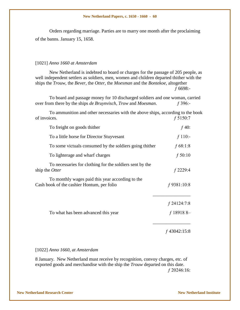Orders regarding marriage. Parties are to marry one month after the proclaiming of the banns. January 15, 1658.

### [1021] *Anno 1660 at Amsterdam*

New Netherland is indebted to board or charges for the passage of 205 people, as well independent settlers as soldiers, men, women and children departed thither with the ships the *Trouw*, the *Bever*, the *Otter*, the *Moesman* and the *Bontekoe*, altogether ƒ 6698:-

To board and passage money for 10 discharged soldiers and one woman, carried over from there by the ships *de Bruynvisch*, *Trow* and *Moesman*. ƒ 396:-

To ammunition and other necessaries with the above ships, according to the book of invoices.  $f\,5150:7$ 

| To freight on goods thither                                                                    | $f$ 40:                       |
|------------------------------------------------------------------------------------------------|-------------------------------|
| To a little horse for Director Stuyvesant                                                      | $f 110$ :-                    |
| To some victuals consumed by the soldiers going thither                                        | f 68:1:8                      |
| To lighterage and wharf charges                                                                | f 50:10                       |
| To necessaries for clothing for the soldiers sent by the<br>ship the Otter                     | $f$ 2229:4                    |
| To monthly wages paid this year according to the<br>Cash book of the cashier Hontum, per folio | $f$ 9381:10:8                 |
| To what has been advanced this year                                                            | $f$ 24124:7:8<br>$f$ 18918 8- |
|                                                                                                | $f$ 43042:15:8                |

### [1022] *Anno 1660, at Amsterdam*

8 January. New Netherland must receive by recognition, convoy charges, etc. of exported goods and merchandise with the ship the *Trouw* departed on this date. ƒ 20246:16: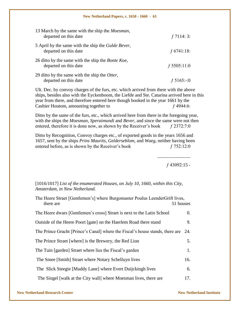| 13 March by the same with the ship the <i>Moesman</i> ,<br>departed on this date    | f 7114:3:     |
|-------------------------------------------------------------------------------------|---------------|
| 5 April by the same with the ship the <i>Gulde Bever</i> ,<br>departed on this date | f 6741:18:    |
| 26 ditto by the same with the ship the <i>Bonte Koe</i> ,<br>departed on this date  | $f$ 5505:11:0 |
| 29 ditto by the same with the ship the Otter,<br>departed on this date              | f 5165:-:0    |

Ult. Dec. by convoy charges of the furs, etc. which arrived from there with the above ships, besides also with the Eyckenboom, the Liefde and Ste. Catarina arrived here in this year from there, and therefore entered here though booked in the year 1661 by the Cashier Houtom, amounting together to  $f$  4944:6:

Ditto by the same of the furs, etc., which arrived here from there in the foregoing year, with the ships the *Moesman*, *Speraimundi* and *Bever*, and since the same were not then entered, therefore it is done now, as shown by the Receiver's book  $f$  2372:7:0

Ditto by Recognition, Convoy charges etc., of exported goods in the years 1656 and 1657, sent by the ships *Prins Maurits*, *Gelderseblom*, and *Waeg*, neither having been entered before, as is shown by the Receiver's book  $f$  752:12:0

ƒ 43092:15 -

\_\_\_\_\_\_\_\_\_\_\_\_\_\_

[1016/1017] *List of the enumerated Houses, on July 10, 1660, within this City, Amsterdam, in New Netherland.*

| The Heere Straet [Gentlemen's] where Burgomaster Poulus LeenderGrift lives,<br>there are | 51 houses |
|------------------------------------------------------------------------------------------|-----------|
| The Heere dwars [Gentlemen's cross] Straet is next to the Latin School                   | 0.        |
| Outside of the Heere Poort [gate] on the Haerlem Road there stand                        | 9.        |
| The Prince Gracht [Prince's Canal] where the Fiscal's house stands, there are            | 24.       |
| The Prince Straet [where] is the Brewery, the Red Lion                                   | 5.        |
| The Tuin [garden] Straet where lies the Fiscal's garden                                  | 1.        |
| The Smee [Smith] Straet where Notary Schelluyn lives                                     | 16.       |
| The Slick Steegie [Muddy Lane] where Evert Duijckingh lives                              | 6.        |
| The Singel [walk at the City wall] where Moesman lives, there are                        | 17.       |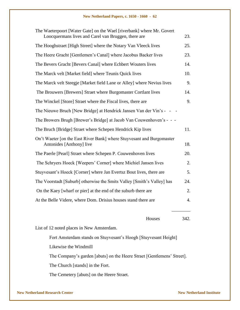| The Waeterpoort [Water Gate] on the Wael [riverbank] where Mr. Govert<br>Loocquermans lives and Carel van Bruggen, there are | 23.  |
|------------------------------------------------------------------------------------------------------------------------------|------|
| The Hooghstraet [High Street] where the Notary Van Vleeck lives                                                              | 25.  |
| The Heere Gracht [Gentlemen's Canal] where Jacobus Backer lives                                                              | 23.  |
| The Bevers Gracht [Bevers Canal] where Echbert Wouters lives                                                                 | 14.  |
| The Marck velt [Market field] where Teunis Quick lives                                                                       | 10.  |
| The Marck velt Steegje [Market field Lane or Alley] where Nevius lives                                                       | 9.   |
| The Brouwers [Brewers] Straet where Burgomaster Cortlant lives                                                               | 14.  |
| The Winckel [Store] Straet where the Fiscal lives, there are                                                                 | 9.   |
| The Nieuwe Bruch [New Bridge] at Hendrick Jansen Van der Vin's - -                                                           |      |
| The Browers Brugh [Brewer's Bridge] at Jacob Van Couwenhoven's - - -                                                         |      |
| The Bruch [Bridge] Straet where Schepen Hendrick Kip lives                                                                   | 11.  |
| On't Waeter [on the East River Bank] where Stuyvesant and Burgomaster<br>Antonides [Anthony] live                            | 18.  |
| The Paerle [Pearl] Straet where Schepen P. Couwenhoven lives                                                                 | 20.  |
| The Schryers Hoeck [Weepers' Corner] where Michiel Jansen lives                                                              | 2.   |
| Stuyvesant's Hoeck [Corner] where Jan Evertsz Bout lives, there are                                                          | 5.   |
| The Voorstadt [Suburb] otherwise the Smits Valley [Smith's Valley] has                                                       | 24.  |
| On the Kaey [wharf or pier] at the end of the suburb there are                                                               | 2.   |
| At the Belle Videre, where Dom. Drisius houses stand there are                                                               | 4.   |
| Houses                                                                                                                       | 342. |
| List of 12 noted places in New Amsterdam.                                                                                    |      |

Fort Amsterdam stands on Stuyvesant's Hoogh [Stuyvesant Height]

Likewise the Windmill

The Company's garden [abuts] on the Heere Straet [Gentlemens' Street].

The Church [stands] in the Fort.

The Cemetery [abuts] on the Heere Straet.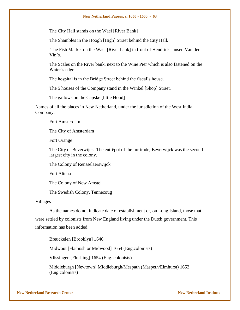The City Hall stands on the Wael [River Bank]

The Shambles in the Hoogh [High] Straet behind the City Hall.

The Fish Market on the Wael [River bank] in front of Hendrick Jansen Van der Vin"s.

The Scales on the River bank, next to the Wine Pier which is also fastened on the Water's edge.

The hospital is in the Bridge Street behind the fiscal"s house.

The 5 houses of the Company stand in the Winkel [Shop] Straet.

The gallows on the Capske [little Hood]

Names of all the places in New Netherland, under the jurisdiction of the West India Company.

Fort Amsterdam

The City of Amsterdam

Fort Orange

The City of Beverwijck The entrêpot of the fur trade, Beverwijck was the second largest city in the colony.

The Colony of Rensselaerswijck

Fort Altena

The Colony of New Amstel

The Swedish Colony, Tennecoug

Villages

As the names do not indicate date of establishment or, on Long Island, those that were settled by colonists from New England living under the Dutch government. This information has been added.

Breuckelen [Brooklyn] 1646

Midwout [Flatbush or Midwood] 1654 (Eng.colonists)

Vlissingen [Flushing] 1654 (Eng. colonists)

Middleburgh [Newtown] Middleburgh/Mespath (Maspeth/Elmhurst) 1652 (Eng.colonists)